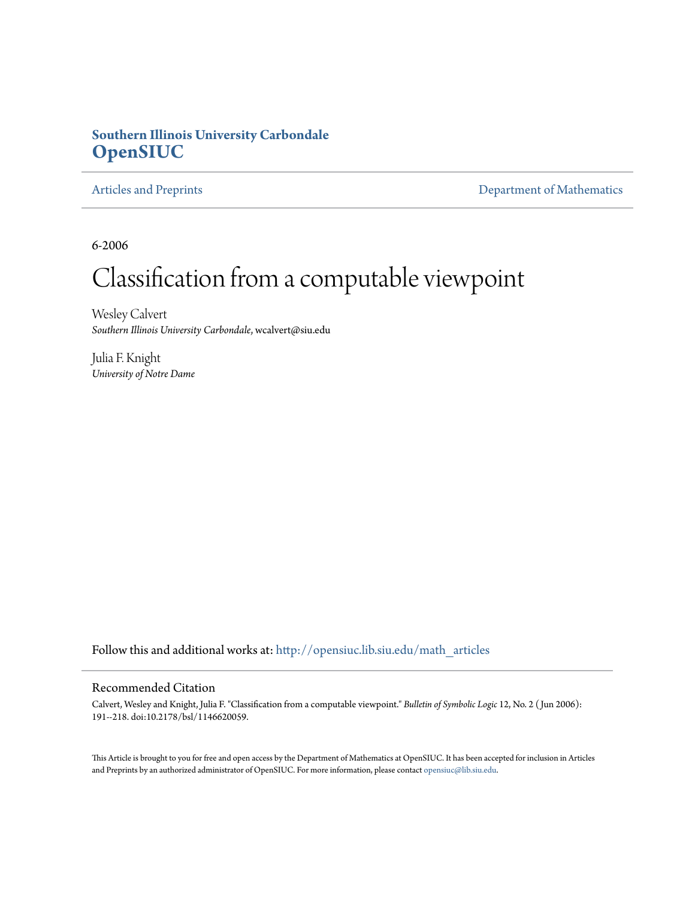# **Southern Illinois University Carbondale [OpenSIUC](http://opensiuc.lib.siu.edu?utm_source=opensiuc.lib.siu.edu%2Fmath_articles%2F124&utm_medium=PDF&utm_campaign=PDFCoverPages)**

[Articles and Preprints](http://opensiuc.lib.siu.edu/math_articles?utm_source=opensiuc.lib.siu.edu%2Fmath_articles%2F124&utm_medium=PDF&utm_campaign=PDFCoverPages) **[Department of Mathematics](http://opensiuc.lib.siu.edu/math?utm_source=opensiuc.lib.siu.edu%2Fmath_articles%2F124&utm_medium=PDF&utm_campaign=PDFCoverPages)** 

6-2006

# Classification from a computable viewpoint

Wesley Calvert *Southern Illinois University Carbondale*, wcalvert@siu.edu

Julia F. Knight *University of Notre Dame*

Follow this and additional works at: [http://opensiuc.lib.siu.edu/math\\_articles](http://opensiuc.lib.siu.edu/math_articles?utm_source=opensiuc.lib.siu.edu%2Fmath_articles%2F124&utm_medium=PDF&utm_campaign=PDFCoverPages)

#### Recommended Citation

Calvert, Wesley and Knight, Julia F. "Classification from a computable viewpoint." *Bulletin of Symbolic Logic* 12, No. 2 ( Jun 2006): 191--218. doi:10.2178/bsl/1146620059.

This Article is brought to you for free and open access by the Department of Mathematics at OpenSIUC. It has been accepted for inclusion in Articles and Preprints by an authorized administrator of OpenSIUC. For more information, please contact [opensiuc@lib.siu.edu](mailto:opensiuc@lib.siu.edu).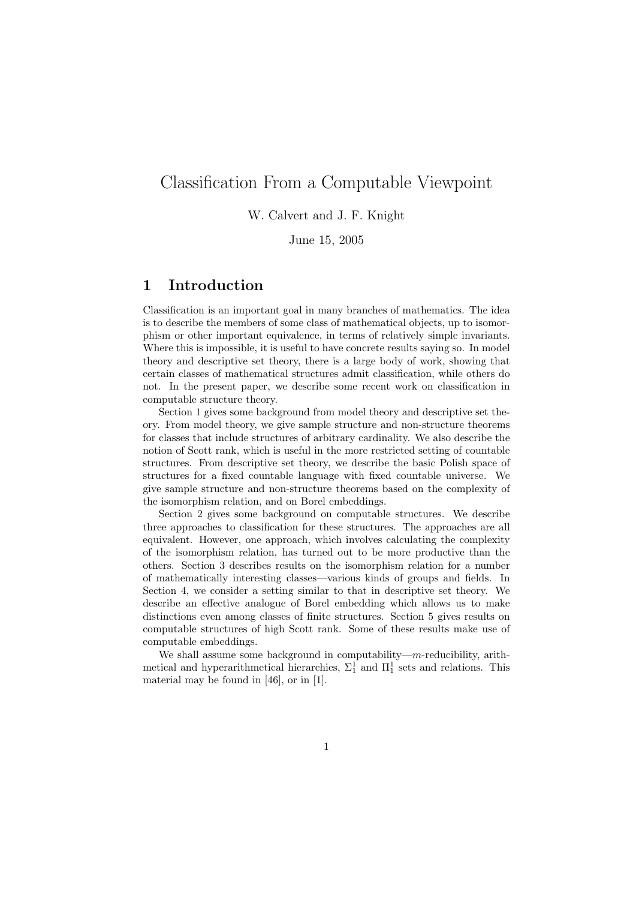# Classification From a Computable Viewpoint

### W. Calvert and J. F. Knight

June 15, 2005

# 1 Introduction

Classification is an important goal in many branches of mathematics. The idea is to describe the members of some class of mathematical objects, up to isomorphism or other important equivalence, in terms of relatively simple invariants. Where this is impossible, it is useful to have concrete results saying so. In model theory and descriptive set theory, there is a large body of work, showing that certain classes of mathematical structures admit classification, while others do not. In the present paper, we describe some recent work on classification in computable structure theory.

Section 1 gives some background from model theory and descriptive set theory. From model theory, we give sample structure and non-structure theorems for classes that include structures of arbitrary cardinality. We also describe the notion of Scott rank, which is useful in the more restricted setting of countable structures. From descriptive set theory, we describe the basic Polish space of structures for a fixed countable language with fixed countable universe. We give sample structure and non-structure theorems based on the complexity of the isomorphism relation, and on Borel embeddings.

Section 2 gives some background on computable structures. We describe three approaches to classification for these structures. The approaches are all equivalent. However, one approach, which involves calculating the complexity of the isomorphism relation, has turned out to be more productive than the others. Section 3 describes results on the isomorphism relation for a number of mathematically interesting classes—various kinds of groups and fields. In Section 4, we consider a setting similar to that in descriptive set theory. We describe an effective analogue of Borel embedding which allows us to make distinctions even among classes of finite structures. Section 5 gives results on computable structures of high Scott rank. Some of these results make use of computable embeddings.

We shall assume some background in computability— $m$ -reducibility, arithmetical and hyperarithmetical hierarchies,  $\Sigma_1^1$  and  $\Pi_1^1$  sets and relations. This material may be found in [46], or in [1].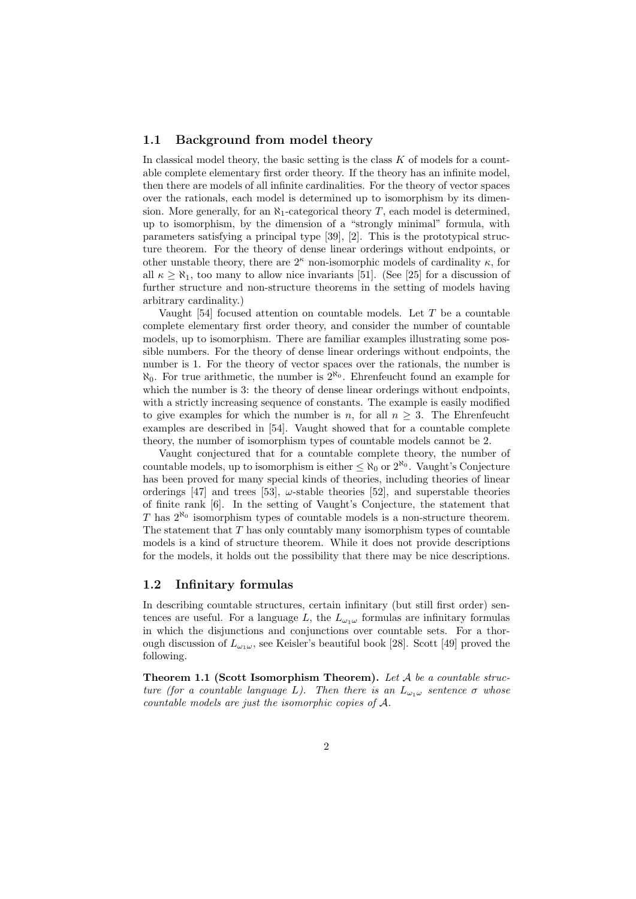#### 1.1 Background from model theory

In classical model theory, the basic setting is the class K of models for a countable complete elementary first order theory. If the theory has an infinite model, then there are models of all infinite cardinalities. For the theory of vector spaces over the rationals, each model is determined up to isomorphism by its dimension. More generally, for an  $\aleph_1$ -categorical theory T, each model is determined. up to isomorphism, by the dimension of a "strongly minimal" formula, with parameters satisfying a principal type [39], [2]. This is the prototypical structure theorem. For the theory of dense linear orderings without endpoints, or other unstable theory, there are  $2^{\kappa}$  non-isomorphic models of cardinality  $\kappa$ , for all  $\kappa \geq \aleph_1$ , too many to allow nice invariants [51]. (See [25] for a discussion of further structure and non-structure theorems in the setting of models having arbitrary cardinality.)

Vaught [54] focused attention on countable models. Let T be a countable complete elementary first order theory, and consider the number of countable models, up to isomorphism. There are familiar examples illustrating some possible numbers. For the theory of dense linear orderings without endpoints, the number is 1. For the theory of vector spaces over the rationals, the number is  $\aleph_0$ . For true arithmetic, the number is  $2^{\aleph_0}$ . Ehrenfeucht found an example for which the number is 3: the theory of dense linear orderings without endpoints, with a strictly increasing sequence of constants. The example is easily modified to give examples for which the number is n, for all  $n \geq 3$ . The Ehrenfeucht examples are described in [54]. Vaught showed that for a countable complete theory, the number of isomorphism types of countable models cannot be 2.

Vaught conjectured that for a countable complete theory, the number of countable models, up to isomorphism is either  $\leq \aleph_0$  or  $2^{\aleph_0}$ . Vaught's Conjecture has been proved for many special kinds of theories, including theories of linear orderings [47] and trees [53],  $\omega$ -stable theories [52], and superstable theories of finite rank [6]. In the setting of Vaught's Conjecture, the statement that T has  $2^{\aleph_0}$  isomorphism types of countable models is a non-structure theorem. The statement that  $T$  has only countably many isomorphism types of countable models is a kind of structure theorem. While it does not provide descriptions for the models, it holds out the possibility that there may be nice descriptions.

#### 1.2 Infinitary formulas

In describing countable structures, certain infinitary (but still first order) sentences are useful. For a language L, the  $L_{\omega_1\omega}$  formulas are infinitary formulas in which the disjunctions and conjunctions over countable sets. For a thorough discussion of  $L_{\omega_1\omega}$ , see Keisler's beautiful book [28]. Scott [49] proved the following.

**Theorem 1.1 (Scott Isomorphism Theorem).** Let  $A$  be a countable structure (for a countable language L). Then there is an  $L_{\omega_1\omega}$  sentence  $\sigma$  whose countable models are just the isomorphic copies of A.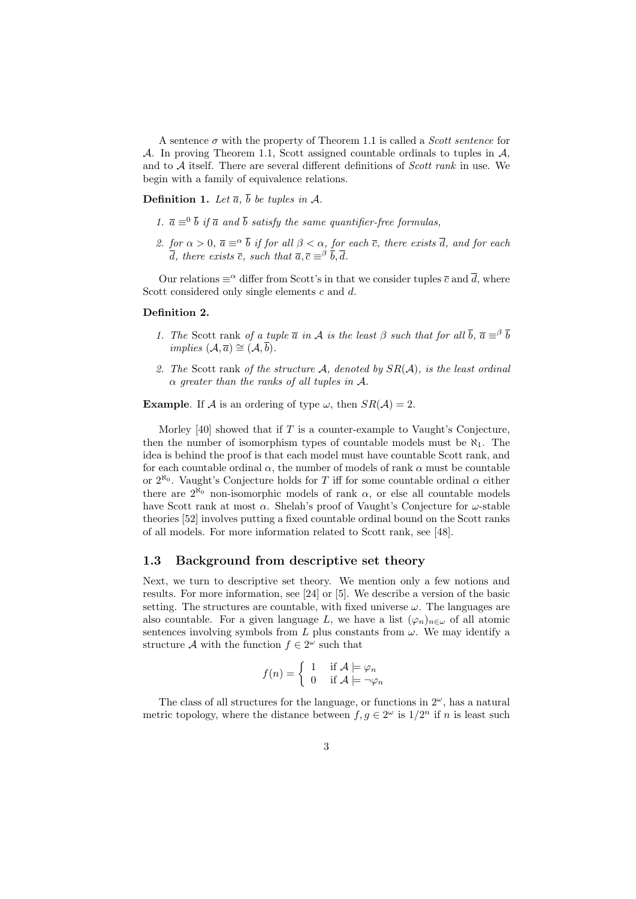A sentence  $\sigma$  with the property of Theorem 1.1 is called a *Scott sentence* for A. In proving Theorem 1.1, Scott assigned countable ordinals to tuples in  $A$ , and to  $A$  itself. There are several different definitions of *Scott rank* in use. We begin with a family of equivalence relations.

**Definition 1.** Let  $\overline{a}$ ,  $\overline{b}$  be tuples in A.

- 1.  $\bar{a} \equiv 0 \bar{b}$  if  $\bar{a}$  and  $\bar{b}$  satisfy the same quantifier-free formulas,
- 2. for  $\alpha > 0$ ,  $\overline{a} \equiv^{\alpha} \overline{b}$  if for all  $\beta < \alpha$ , for each  $\overline{c}$ , there exists  $\overline{d}$ , and for each  $\overline{d}$ , there exists  $\overline{c}$ , such that  $\overline{a}$ ,  $\overline{c} \equiv^{\beta} \overline{b}$ ,  $\overline{d}$ .

Our relations  $\equiv^{\alpha}$  differ from Scott's in that we consider tuples  $\bar{c}$  and  $\bar{d}$ , where Scott considered only single elements c and d.

#### Definition 2.

- 1. The Scott rank of a tuple  $\bar{a}$  in A is the least  $\beta$  such that for all  $\bar{b}$ ,  $\bar{a} \equiv^{\beta} \bar{b}$ *implies*  $(A, \overline{a}) \cong (A, \overline{b}).$
- 2. The Scott rank of the structure A, denoted by  $SR(A)$ , is the least ordinal  $\alpha$  greater than the ranks of all tuples in A.

**Example.** If A is an ordering of type  $\omega$ , then  $SR(\mathcal{A}) = 2$ .

Morley [40] showed that if  $T$  is a counter-example to Vaught's Conjecture, then the number of isomorphism types of countable models must be  $\aleph_1$ . The idea is behind the proof is that each model must have countable Scott rank, and for each countable ordinal  $\alpha$ , the number of models of rank  $\alpha$  must be countable or  $2^{\aleph_0}$ . Vaught's Conjecture holds for T iff for some countable ordinal  $\alpha$  either there are  $2^{\aleph_0}$  non-isomorphic models of rank  $\alpha$ , or else all countable models have Scott rank at most  $\alpha$ . Shelah's proof of Vaught's Conjecture for  $\omega$ -stable theories [52] involves putting a fixed countable ordinal bound on the Scott ranks of all models. For more information related to Scott rank, see [48].

#### 1.3 Background from descriptive set theory

Next, we turn to descriptive set theory. We mention only a few notions and results. For more information, see [24] or [5]. We describe a version of the basic setting. The structures are countable, with fixed universe  $\omega$ . The languages are also countable. For a given language L, we have a list  $(\varphi_n)_{n\in\omega}$  of all atomic sentences involving symbols from L plus constants from  $\omega$ . We may identify a structure A with the function  $f \in 2^{\omega}$  such that

$$
f(n) = \begin{cases} 1 & \text{if } A \models \varphi_n \\ 0 & \text{if } A \models \neg \varphi_n \end{cases}
$$

The class of all structures for the language, or functions in  $2^{\omega}$ , has a natural metric topology, where the distance between  $f, g \in 2^{\omega}$  is  $1/2^n$  if n is least such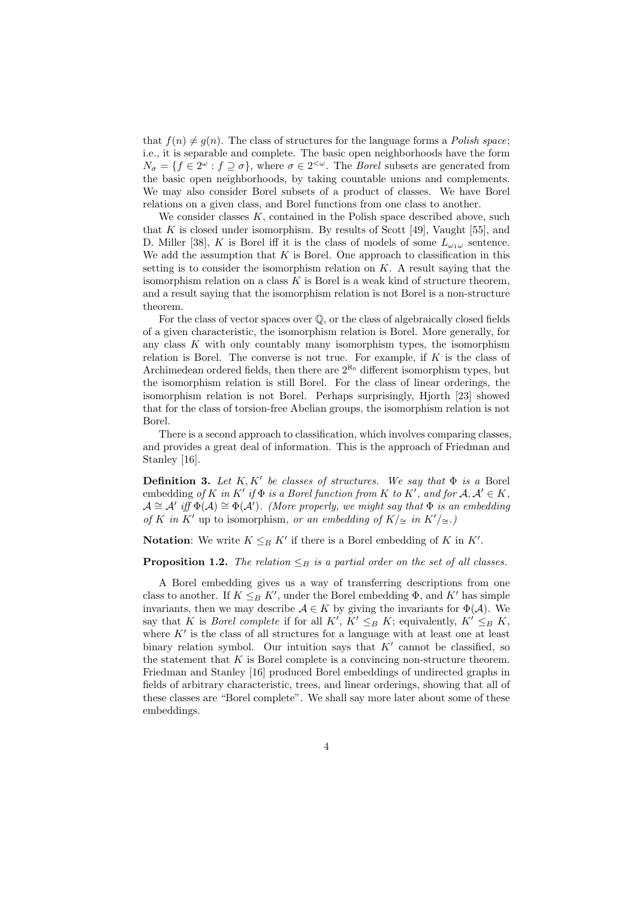that  $f(n) \neq g(n)$ . The class of structures for the language forms a *Polish space*; i.e., it is separable and complete. The basic open neighborhoods have the form  $N_{\sigma} = \{f \in 2^{\omega} : f \supseteq \sigma\}$ , where  $\sigma \in 2^{<\omega}$ . The *Borel* subsets are generated from the basic open neighborhoods, by taking countable unions and complements. We may also consider Borel subsets of a product of classes. We have Borel relations on a given class, and Borel functions from one class to another.

We consider classes  $K$ , contained in the Polish space described above, such that K is closed under isomorphism. By results of Scott [49], Vaught [55], and D. Miller [38], K is Borel iff it is the class of models of some  $L_{\omega_1\omega}$  sentence. We add the assumption that  $K$  is Borel. One approach to classification in this setting is to consider the isomorphism relation on  $K$ . A result saying that the isomorphism relation on a class  $K$  is Borel is a weak kind of structure theorem, and a result saying that the isomorphism relation is not Borel is a non-structure theorem.

For the class of vector spaces over Q, or the class of algebraically closed fields of a given characteristic, the isomorphism relation is Borel. More generally, for any class  $K$  with only countably many isomorphism types, the isomorphism relation is Borel. The converse is not true. For example, if  $K$  is the class of Archimedean ordered fields, then there are  $2^{\aleph_0}$  different isomorphism types, but the isomorphism relation is still Borel. For the class of linear orderings, the isomorphism relation is not Borel. Perhaps surprisingly, Hjorth [23] showed that for the class of torsion-free Abelian groups, the isomorphism relation is not Borel.

There is a second approach to classification, which involves comparing classes, and provides a great deal of information. This is the approach of Friedman and Stanley [16].

**Definition 3.** Let  $K$ ,  $K'$  be classes of structures. We say that  $\Phi$  is a Borel embedding of K in K' if  $\Phi$  is a Borel function from K to K', and for  $\mathcal{A}, \mathcal{A}' \in K$ ,  $\mathcal{A} \cong \mathcal{A}'$  iff  $\Phi(\mathcal{A}) \cong \Phi(\mathcal{A}')$ . (More properly, we might say that  $\Phi$  is an embedding of K in K' up to isomorphism, or an embedding of K/≃ in K'/≅.)

**Notation:** We write  $K \leq_B K'$  if there is a Borel embedding of K in K'.

**Proposition 1.2.** The relation  $\leq_B$  is a partial order on the set of all classes.

A Borel embedding gives us a way of transferring descriptions from one class to another. If  $K \leq_B K'$ , under the Borel embedding  $\Phi$ , and  $K'$  has simple invariants, then we may describe  $A \in K$  by giving the invariants for  $\Phi(A)$ . We say that K is *Borel complete* if for all  $K'$ ,  $K' \leq_B K$ ; equivalently,  $K' \leq_B K$ , where  $K'$  is the class of all structures for a language with at least one at least binary relation symbol. Our intuition says that  $K'$  cannot be classified, so the statement that  $K$  is Borel complete is a convincing non-structure theorem. Friedman and Stanley [16] produced Borel embeddings of undirected graphs in fields of arbitrary characteristic, trees, and linear orderings, showing that all of these classes are "Borel complete". We shall say more later about some of these embeddings.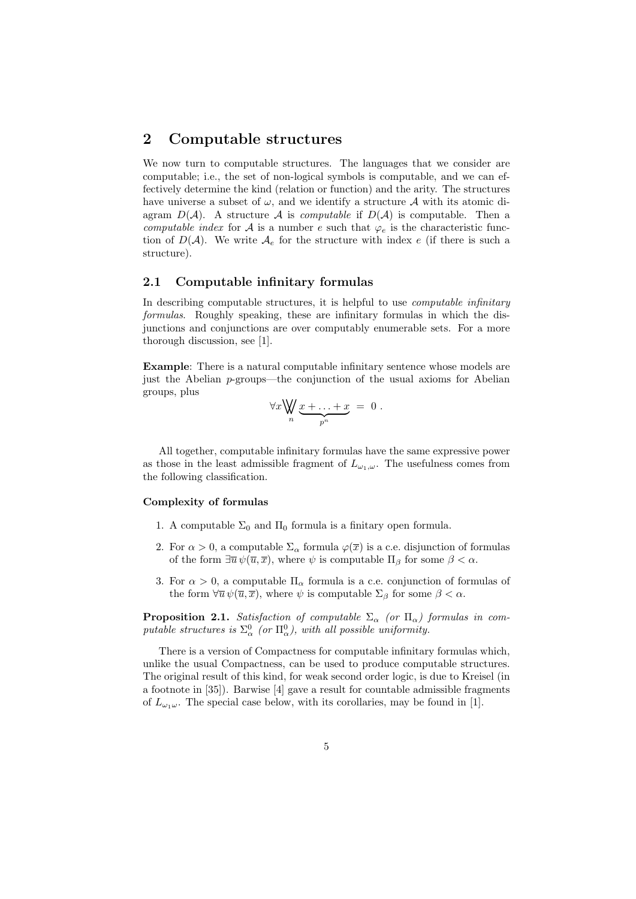## 2 Computable structures

We now turn to computable structures. The languages that we consider are computable; i.e., the set of non-logical symbols is computable, and we can effectively determine the kind (relation or function) and the arity. The structures have universe a subset of  $\omega$ , and we identify a structure A with its atomic diagram  $D(\mathcal{A})$ . A structure  $\mathcal A$  is computable if  $D(\mathcal{A})$  is computable. Then a computable index for A is a number e such that  $\varphi_e$  is the characteristic function of  $D(\mathcal{A})$ . We write  $\mathcal{A}_e$  for the structure with index e (if there is such a structure).

#### 2.1 Computable infinitary formulas

In describing computable structures, it is helpful to use *computable infinitary* formulas. Roughly speaking, these are infinitary formulas in which the disjunctions and conjunctions are over computably enumerable sets. For a more thorough discussion, see [1].

Example: There is a natural computable infinitary sentence whose models are just the Abelian p-groups—the conjunction of the usual axioms for Abelian groups, plus  $\ddotsc$ 

$$
\forall x \bigvee_n \underbrace{x + \ldots + x}_{p^n} = 0.
$$

All together, computable infinitary formulas have the same expressive power as those in the least admissible fragment of  $L_{\omega_1,\omega}$ . The usefulness comes from the following classification.

#### Complexity of formulas

- 1. A computable  $\Sigma_0$  and  $\Pi_0$  formula is a finitary open formula.
- 2. For  $\alpha > 0$ , a computable  $\Sigma_{\alpha}$  formula  $\varphi(\overline{x})$  is a c.e. disjunction of formulas of the form  $\exists \overline{u} \psi(\overline{u}, \overline{x})$ , where  $\psi$  is computable  $\Pi_{\beta}$  for some  $\beta < \alpha$ .
- 3. For  $\alpha > 0$ , a computable  $\Pi_{\alpha}$  formula is a c.e. conjunction of formulas of the form  $\forall \overline{u} \psi(\overline{u}, \overline{x})$ , where  $\psi$  is computable  $\Sigma_{\beta}$  for some  $\beta < \alpha$ .

**Proposition 2.1.** Satisfaction of computable  $\Sigma_{\alpha}$  (or  $\Pi_{\alpha}$ ) formulas in computable structures is  $\Sigma^0_\alpha$  (or  $\Pi^0_\alpha$ ), with all possible uniformity.

There is a version of Compactness for computable infinitary formulas which, unlike the usual Compactness, can be used to produce computable structures. The original result of this kind, for weak second order logic, is due to Kreisel (in a footnote in [35]). Barwise [4] gave a result for countable admissible fragments of  $L_{\omega_1\omega}$ . The special case below, with its corollaries, may be found in [1].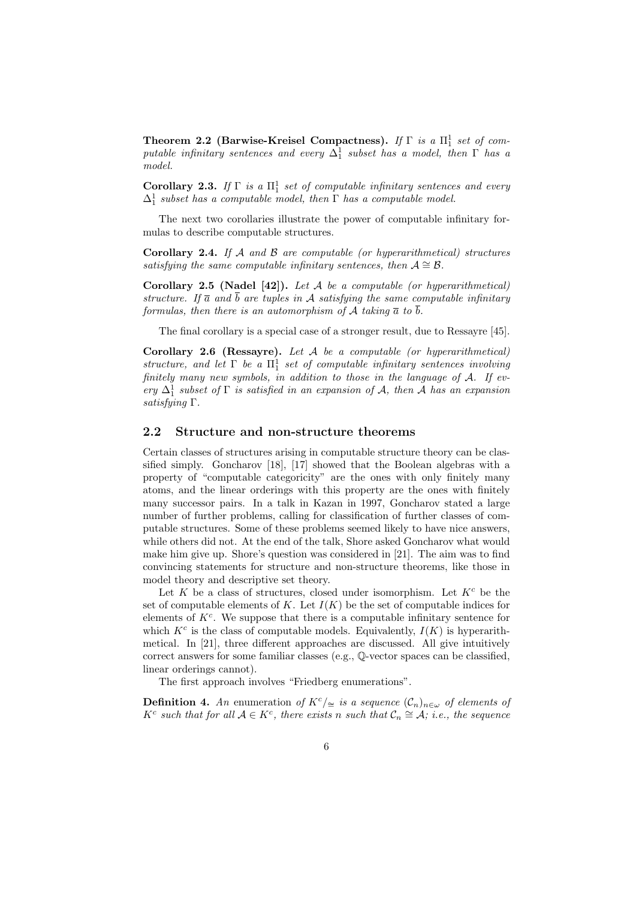Theorem 2.2 (Barwise-Kreisel Compactness). If  $\Gamma$  is a  $\Pi_1^1$  set of computable infinitary sentences and every  $\Delta_1^1$  subset has a model, then  $\Gamma$  has a model.

Corollary 2.3. If  $\Gamma$  is a  $\Pi_1^1$  set of computable infinitary sentences and every  $\Delta_1^1$  subset has a computable model, then  $\Gamma$  has a computable model.

The next two corollaries illustrate the power of computable infinitary formulas to describe computable structures.

Corollary 2.4. If  $A$  and  $B$  are computable (or hyperarithmetical) structures satisfying the same computable infinitary sentences, then  $A \cong \mathcal{B}$ .

Corollary 2.5 (Nadel [42]). Let  $A$  be a computable (or hyperarithmetical) structure. If  $\bar{a}$  and  $\bar{b}$  are tuples in A satisfying the same computable infinitary formulas, then there is an automorphism of A taking  $\bar{a}$  to  $\bar{b}$ .

The final corollary is a special case of a stronger result, due to Ressayre [45].

Corollary 2.6 (Ressayre). Let A be a computable (or hyperarithmetical) structure, and let  $\Gamma$  be a  $\Pi_1^1$  set of computable infinitary sentences involving finitely many new symbols, in addition to those in the language of  $A$ . If every  $\Delta_1^1$  subset of  $\Gamma$  is satisfied in an expansion of A, then A has an expansion satisfying Γ.

#### 2.2 Structure and non-structure theorems

Certain classes of structures arising in computable structure theory can be classified simply. Goncharov [18], [17] showed that the Boolean algebras with a property of "computable categoricity" are the ones with only finitely many atoms, and the linear orderings with this property are the ones with finitely many successor pairs. In a talk in Kazan in 1997, Goncharov stated a large number of further problems, calling for classification of further classes of computable structures. Some of these problems seemed likely to have nice answers, while others did not. At the end of the talk, Shore asked Goncharov what would make him give up. Shore's question was considered in [21]. The aim was to find convincing statements for structure and non-structure theorems, like those in model theory and descriptive set theory.

Let  $K$  be a class of structures, closed under isomorphism. Let  $K<sup>c</sup>$  be the set of computable elements of K. Let  $I(K)$  be the set of computable indices for elements of  $K<sup>c</sup>$ . We suppose that there is a computable infinitary sentence for which  $K^c$  is the class of computable models. Equivalently,  $I(K)$  is hyperarithmetical. In [21], three different approaches are discussed. All give intuitively correct answers for some familiar classes (e.g., Q-vector spaces can be classified, linear orderings cannot).

The first approach involves "Friedberg enumerations".

**Definition 4.** An enumeration of  $K^c/\simeq$  is a sequence  $(\mathcal{C}_n)_{n\in\omega}$  of elements of  $K^c$  such that for all  $\mathcal{A} \in K^c$ , there exists n such that  $\mathcal{C}_n \cong \mathcal{A}$ ; i.e., the sequence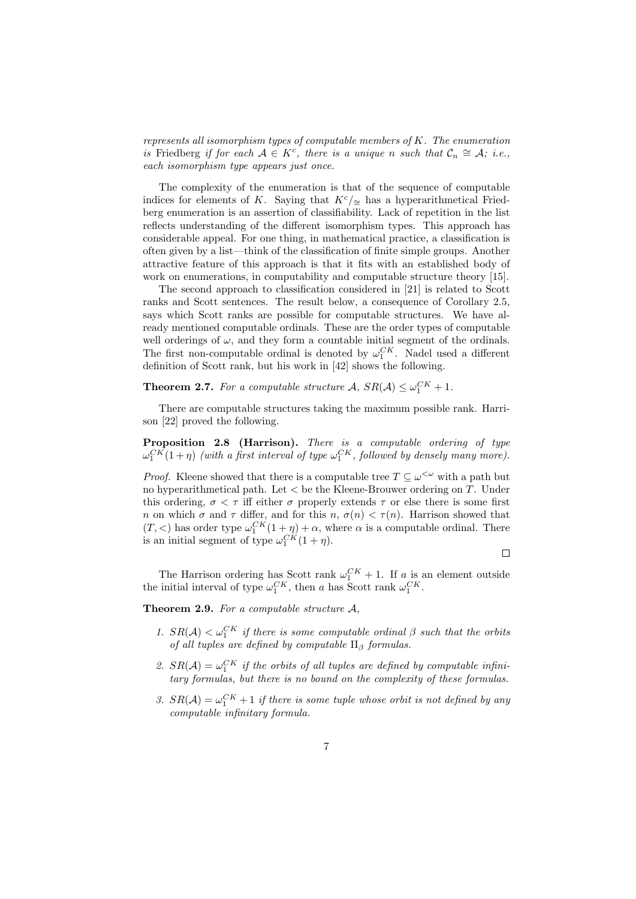represents all isomorphism types of computable members of  $K$ . The enumeration is Friedberg if for each  $A \in K^c$ , there is a unique n such that  $C_n \cong A$ ; i.e., each isomorphism type appears just once.

The complexity of the enumeration is that of the sequence of computable indices for elements of K. Saying that  $K<sup>c</sup>/\approx$  has a hyperarithmetical Friedberg enumeration is an assertion of classifiability. Lack of repetition in the list reflects understanding of the different isomorphism types. This approach has considerable appeal. For one thing, in mathematical practice, a classification is often given by a list—think of the classification of finite simple groups. Another attractive feature of this approach is that it fits with an established body of work on enumerations, in computability and computable structure theory [15].

The second approach to classification considered in [21] is related to Scott ranks and Scott sentences. The result below, a consequence of Corollary 2.5, says which Scott ranks are possible for computable structures. We have already mentioned computable ordinals. These are the order types of computable well orderings of  $\omega$ , and they form a countable initial segment of the ordinals. The first non-computable ordinal is denoted by  $\omega_1^{CK}$ . Nadel used a different definition of Scott rank, but his work in [42] shows the following.

**Theorem 2.7.** For a computable structure  $A$ ,  $SR(A) \leq \omega_1^{CK} + 1$ .

There are computable structures taking the maximum possible rank. Harrison [22] proved the following.

Proposition 2.8 (Harrison). There is a computable ordering of type  $\omega_1^{CK}(1+\eta)$  (with a first interval of type  $\omega_1^{CK}$ , followed by densely many more).

*Proof.* Kleene showed that there is a computable tree  $T \subseteq \omega^{\lt \omega}$  with a path but no hyperarithmetical path. Let  $\lt$  be the Kleene-Brouwer ordering on  $T$ . Under this ordering,  $\sigma < \tau$  iff either  $\sigma$  properly extends  $\tau$  or else there is some first n on which  $\sigma$  and  $\tau$  differ, and for this  $n, \sigma(n) < \tau(n)$ . Harrison showed that  $(T, <)$  has order type  $\omega_1^{CK}(1+\eta) + \alpha$ , where  $\alpha$  is a computable ordinal. There is an initial segment of type  $\omega_1^{CK}(1+\eta)$ .

 $\Box$ 

The Harrison ordering has Scott rank  $\omega_1^{CK} + 1$ . If a is an element outside the initial interval of type  $\omega_1^{CK}$ , then a has Scott rank  $\omega_1^{CK}$ .

Theorem 2.9. For a computable structure A.

- 1.  $SR(\mathcal{A}) < \omega_1^{CK}$  if there is some computable ordinal  $\beta$  such that the orbits of all tuples are defined by computable  $\Pi_{\beta}$  formulas.
- 2.  $SR(\mathcal{A}) = \omega_1^{CK}$  if the orbits of all tuples are defined by computable infinitary formulas, but there is no bound on the complexity of these formulas.
- 3.  $SR(\mathcal{A}) = \omega_1^{CK} + 1$  if there is some tuple whose orbit is not defined by any computable infinitary formula.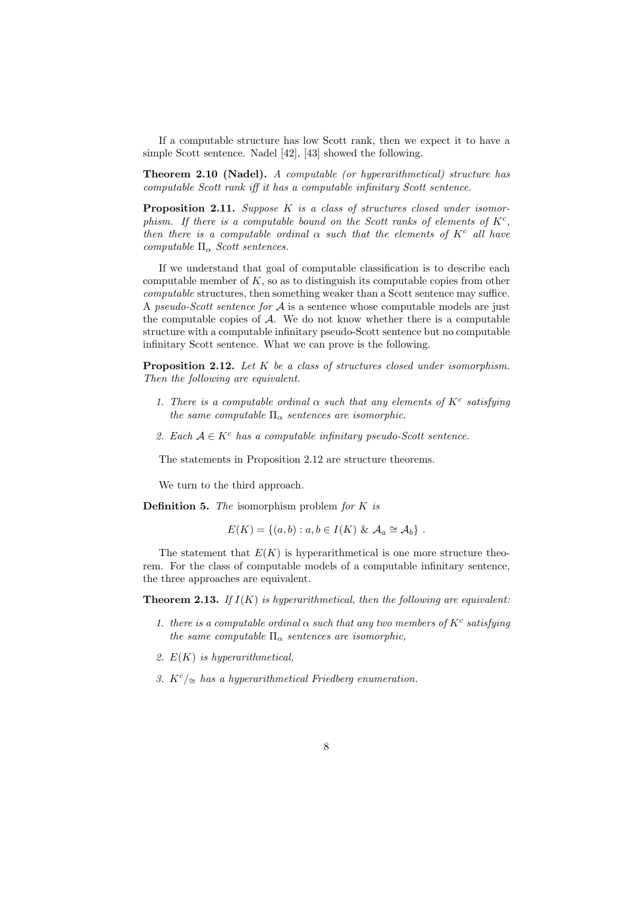If a computable structure has low Scott rank, then we expect it to have a simple Scott sentence. Nadel [42], [43] showed the following.

Theorem 2.10 (Nadel). A computable (or hyperarithmetical) structure has computable Scott rank iff it has a computable infinitary Scott sentence.

Proposition 2.11. Suppose K is a class of structures closed under isomorphism. If there is a computable bound on the Scott ranks of elements of  $K^c$ , then there is a computable ordinal  $\alpha$  such that the elements of  $K^c$  all have computable  $\Pi_{\alpha}$  Scott sentences.

If we understand that goal of computable classification is to describe each computable member of  $K$ , so as to distinguish its computable copies from other computable structures, then something weaker than a Scott sentence may suffice. A pseudo-Scott sentence for  $A$  is a sentence whose computable models are just the computable copies of  $A$ . We do not know whether there is a computable structure with a computable infinitary pseudo-Scott sentence but no computable infinitary Scott sentence. What we can prove is the following.

Proposition 2.12. Let K be a class of structures closed under isomorphism. Then the following are equivalent.

- 1. There is a computable ordinal  $\alpha$  such that any elements of  $K^c$  satisfying the same computable  $\Pi_{\alpha}$  sentences are isomorphic.
- 2. Each  $A \in K^c$  has a computable infinitary pseudo-Scott sentence.

The statements in Proposition 2.12 are structure theorems.

We turn to the third approach.

**Definition 5.** The isomorphism problem for  $K$  is

$$
E(K) = \{(a, b) : a, b \in I(K) \& \mathcal{A}_a \cong \mathcal{A}_b\}.
$$

The statement that  $E(K)$  is hyperarithmetical is one more structure theorem. For the class of computable models of a computable infinitary sentence, the three approaches are equivalent.

**Theorem 2.13.** If  $I(K)$  is hyperarithmetical, then the following are equivalent:

- 1. there is a computable ordinal  $\alpha$  such that any two members of  $K^c$  satisfying the same computable  $\Pi_{\alpha}$  sentences are isomorphic,
- 2.  $E(K)$  is hyperarithmetical,
- 3. K<sup>c</sup>/≃ has a hyperarithmetical Friedberg enumeration.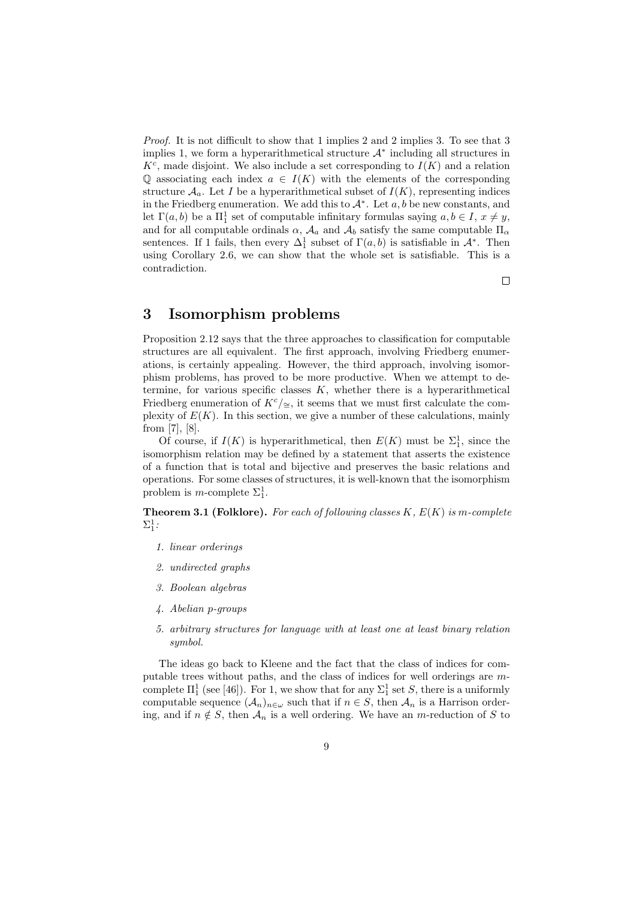Proof. It is not difficult to show that 1 implies 2 and 2 implies 3. To see that 3 implies 1, we form a hyperarithmetical structure  $A^*$  including all structures in  $K<sup>c</sup>$ , made disjoint. We also include a set corresponding to  $I(K)$  and a relation Q associating each index  $a \in I(K)$  with the elements of the corresponding structure  $A_a$ . Let I be a hyperarithmetical subset of  $I(K)$ , representing indices in the Friedberg enumeration. We add this to  $\mathcal{A}^*$ . Let  $a, b$  be new constants, and let  $\Gamma(a, b)$  be a  $\Pi_1^1$  set of computable infinitary formulas saying  $a, b \in I$ ,  $x \neq y$ , and for all computable ordinals  $\alpha$ ,  $\mathcal{A}_a$  and  $\mathcal{A}_b$  satisfy the same computable  $\Pi_a$ sentences. If 1 fails, then every  $\Delta_1^1$  subset of  $\Gamma(a, b)$  is satisfiable in  $\mathcal{A}^*$ . Then using Corollary 2.6, we can show that the whole set is satisfiable. This is a contradiction.

 $\Box$ 

# 3 Isomorphism problems

Proposition 2.12 says that the three approaches to classification for computable structures are all equivalent. The first approach, involving Friedberg enumerations, is certainly appealing. However, the third approach, involving isomorphism problems, has proved to be more productive. When we attempt to determine, for various specific classes  $K$ , whether there is a hyperarithmetical Friedberg enumeration of  $K^c/\simeq$ , it seems that we must first calculate the complexity of  $E(K)$ . In this section, we give a number of these calculations, mainly from [7], [8].

Of course, if  $I(K)$  is hyperarithmetical, then  $E(K)$  must be  $\Sigma_1^1$ , since the isomorphism relation may be defined by a statement that asserts the existence of a function that is total and bijective and preserves the basic relations and operations. For some classes of structures, it is well-known that the isomorphism problem is *m*-complete  $\Sigma_1^1$ .

**Theorem 3.1 (Folklore).** For each of following classes  $K, E(K)$  is m-complete  $\Sigma^1_1$ :

- 1. linear orderings
- 2. undirected graphs
- 3. Boolean algebras
- 4. Abelian p-groups
- 5. arbitrary structures for language with at least one at least binary relation symbol.

The ideas go back to Kleene and the fact that the class of indices for computable trees without paths, and the class of indices for well orderings are mcomplete  $\Pi_1^1$  (see [46]). For 1, we show that for any  $\Sigma_1^1$  set S, there is a uniformly computable sequence  $(\mathcal{A}_n)_{n\in\omega}$  such that if  $n\in S$ , then  $\mathcal{A}_n$  is a Harrison ordering, and if  $n \notin S$ , then  $\mathcal{A}_n$  is a well ordering. We have an m-reduction of S to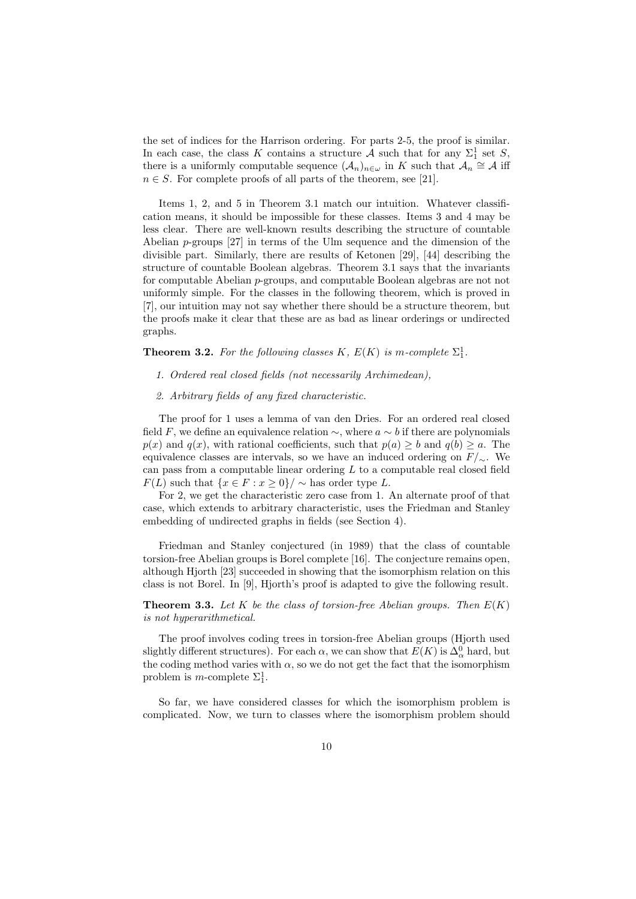the set of indices for the Harrison ordering. For parts 2-5, the proof is similar. In each case, the class K contains a structure A such that for any  $\Sigma_1^1$  set S, there is a uniformly computable sequence  $(A_n)_{n\in\omega}$  in K such that  $\mathcal{A}_n \cong \mathcal{A}$  iff  $n \in S$ . For complete proofs of all parts of the theorem, see [21].

Items 1, 2, and 5 in Theorem 3.1 match our intuition. Whatever classification means, it should be impossible for these classes. Items 3 and 4 may be less clear. There are well-known results describing the structure of countable Abelian p-groups [27] in terms of the Ulm sequence and the dimension of the divisible part. Similarly, there are results of Ketonen [29], [44] describing the structure of countable Boolean algebras. Theorem 3.1 says that the invariants for computable Abelian p-groups, and computable Boolean algebras are not not uniformly simple. For the classes in the following theorem, which is proved in [7], our intuition may not say whether there should be a structure theorem, but the proofs make it clear that these are as bad as linear orderings or undirected graphs.

**Theorem 3.2.** For the following classes K,  $E(K)$  is m-complete  $\Sigma_1^1$ .

- 1. Ordered real closed fields (not necessarily Archimedean),
- 2. Arbitrary fields of any fixed characteristic.

The proof for 1 uses a lemma of van den Dries. For an ordered real closed field F, we define an equivalence relation  $\sim$ , where  $a \sim b$  if there are polynomials  $p(x)$  and  $q(x)$ , with rational coefficients, such that  $p(a) \geq b$  and  $q(b) \geq a$ . The equivalence classes are intervals, so we have an induced ordering on  $F/\sim$ . We can pass from a computable linear ordering L to a computable real closed field  $F(L)$  such that  $\{x \in F : x > 0\} / \sim$  has order type L.

For 2, we get the characteristic zero case from 1. An alternate proof of that case, which extends to arbitrary characteristic, uses the Friedman and Stanley embedding of undirected graphs in fields (see Section 4).

Friedman and Stanley conjectured (in 1989) that the class of countable torsion-free Abelian groups is Borel complete [16]. The conjecture remains open, although Hjorth [23] succeeded in showing that the isomorphism relation on this class is not Borel. In [9], Hjorth's proof is adapted to give the following result.

**Theorem 3.3.** Let K be the class of torsion-free Abelian groups. Then  $E(K)$ is not hyperarithmetical.

The proof involves coding trees in torsion-free Abelian groups (Hjorth used slightly different structures). For each  $\alpha$ , we can show that  $E(K)$  is  $\Delta_{\alpha}^{0}$  hard, but the coding method varies with  $\alpha$ , so we do not get the fact that the isomorphism problem is *m*-complete  $\Sigma_1^1$ .

So far, we have considered classes for which the isomorphism problem is complicated. Now, we turn to classes where the isomorphism problem should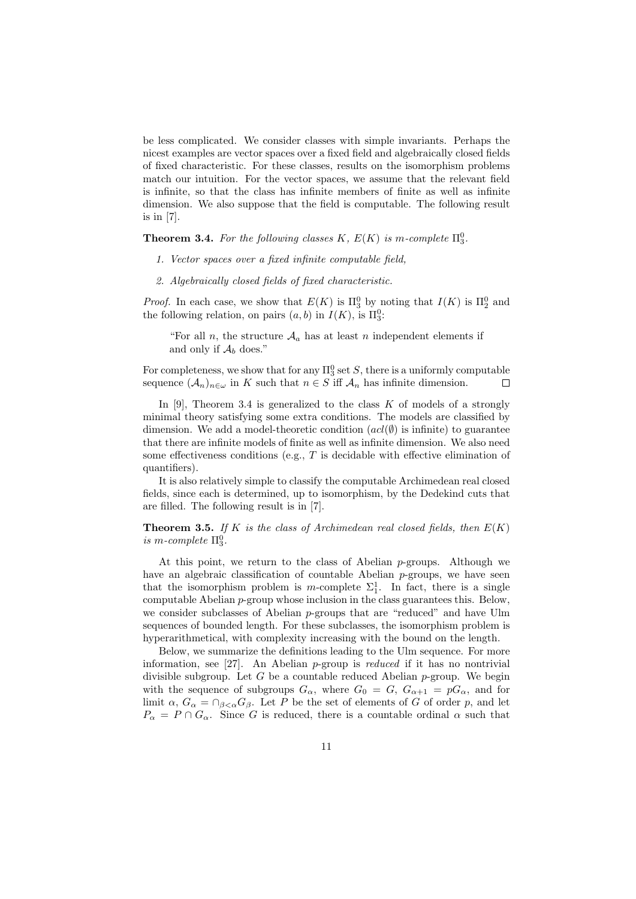be less complicated. We consider classes with simple invariants. Perhaps the nicest examples are vector spaces over a fixed field and algebraically closed fields of fixed characteristic. For these classes, results on the isomorphism problems match our intuition. For the vector spaces, we assume that the relevant field is infinite, so that the class has infinite members of finite as well as infinite dimension. We also suppose that the field is computable. The following result is in [7].

**Theorem 3.4.** For the following classes K,  $E(K)$  is m-complete  $\Pi_3^0$ .

- 1. Vector spaces over a fixed infinite computable field,
- 2. Algebraically closed fields of fixed characteristic.

*Proof.* In each case, we show that  $E(K)$  is  $\Pi_3^0$  by noting that  $I(K)$  is  $\Pi_2^0$  and the following relation, on pairs  $(a, b)$  in  $I(K)$ , is  $\Pi_3^0$ :

"For all n, the structure  $A_a$  has at least n independent elements if and only if  $\mathcal{A}_b$  does."

For completeness, we show that for any  $\Pi^0_3$  set S, there is a uniformly computable sequence  $(A_n)_{n\in\omega}$  in K such that  $n\in S$  iff  $\mathcal{A}_n$  has infinite dimension.  $\Box$ 

In [9]. Theorem 3.4 is generalized to the class  $K$  of models of a strongly minimal theory satisfying some extra conditions. The models are classified by dimension. We add a model-theoretic condition  $(acl(\emptyset))$  is infinite) to guarantee that there are infinite models of finite as well as infinite dimension. We also need some effectiveness conditions (e.g., T is decidable with effective elimination of quantifiers).

It is also relatively simple to classify the computable Archimedean real closed fields, since each is determined, up to isomorphism, by the Dedekind cuts that are filled. The following result is in [7].

**Theorem 3.5.** If K is the class of Archimedean real closed fields, then  $E(K)$ is m-complete  $\Pi_3^0$ .

At this point, we return to the class of Abelian  $p$ -groups. Although we have an algebraic classification of countable Abelian  $p$ -groups, we have seen that the isomorphism problem is m-complete  $\Sigma_1^1$ . In fact, there is a single computable Abelian  $p$ -group whose inclusion in the class guarantees this. Below, we consider subclasses of Abelian p-groups that are "reduced" and have Ulm sequences of bounded length. For these subclasses, the isomorphism problem is hyperarithmetical, with complexity increasing with the bound on the length.

Below, we summarize the definitions leading to the Ulm sequence. For more information, see [27]. An Abelian p-group is reduced if it has no nontrivial divisible subgroup. Let G be a countable reduced Abelian  $p$ -group. We begin with the sequence of subgroups  $G_{\alpha}$ , where  $G_0 = G$ ,  $G_{\alpha+1} = pG_{\alpha}$ , and for limit  $\alpha$ ,  $G_{\alpha} = \bigcap_{\beta < \alpha} G_{\beta}$ . Let P be the set of elements of G of order p, and let  $P_{\alpha} = P \cap G_{\alpha}$ . Since G is reduced, there is a countable ordinal  $\alpha$  such that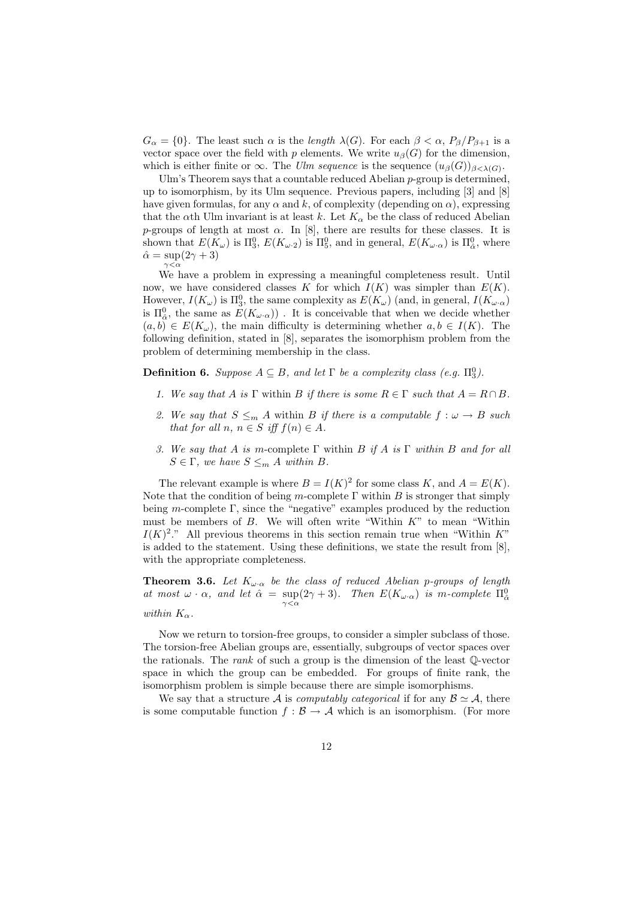$G_{\alpha} = \{0\}$ . The least such  $\alpha$  is the *length*  $\lambda(G)$ . For each  $\beta < \alpha$ ,  $P_{\beta}/P_{\beta+1}$  is a vector space over the field with p elements. We write  $u_{\beta}(G)$  for the dimension, which is either finite or  $\infty$ . The Ulm sequence is the sequence  $(u_\beta(G))_{\beta<\lambda(G)}$ .

Ulm's Theorem says that a countable reduced Abelian  $p$ -group is determined. up to isomorphism, by its Ulm sequence. Previous papers, including [3] and [8] have given formulas, for any  $\alpha$  and k, of complexity (depending on  $\alpha$ ), expressing that the  $\alpha$ th Ulm invariant is at least k. Let  $K_{\alpha}$  be the class of reduced Abelian p-groups of length at most  $\alpha$ . In [8], there are results for these classes. It is shown that  $E(K_\omega)$  is  $\Pi_3^0$ ,  $E(K_{\omega \cdot 2})$  is  $\Pi_5^0$ , and in general,  $E(K_{\omega \cdot \alpha})$  is  $\Pi_{\hat{\alpha}}^0$ , where  $\hat{\alpha} = \sup(2\gamma + 3)$  $\gamma < \alpha$ 

We have a problem in expressing a meaningful completeness result. Until now, we have considered classes K for which  $I(K)$  was simpler than  $E(K)$ . However,  $I(K_{\omega})$  is  $\Pi_3^0$ , the same complexity as  $E(K_{\omega})$  (and, in general,  $I(K_{\omega} \cdot \alpha)$ ) is  $\Pi_{\hat{\alpha}}^0$ , the same as  $E(K_{\omega}.\alpha))$ . It is conceivable that when we decide whether  $(a, b) \in E(K_\omega)$ , the main difficulty is determining whether  $a, b \in I(K)$ . The following definition, stated in [8], separates the isomorphism problem from the problem of determining membership in the class.

**Definition 6.** Suppose  $A \subseteq B$ , and let  $\Gamma$  be a complexity class (e.g.  $\Pi_3^0$ ).

- 1. We say that A is  $\Gamma$  within B if there is some  $R \in \Gamma$  such that  $A = R \cap B$ .
- 2. We say that  $S \leq_m A$  within B if there is a computable  $f : \omega \to B$  such that for all n,  $n \in S$  iff  $f(n) \in A$ .
- 3. We say that A is m-complete  $\Gamma$  within B if A is  $\Gamma$  within B and for all  $S \in \Gamma$ , we have  $S \leq_m A$  within B.

The relevant example is where  $B = I(K)^2$  for some class K, and  $A = E(K)$ . Note that the condition of being m-complete  $\Gamma$  within B is stronger that simply being m-complete  $\Gamma$ , since the "negative" examples produced by the reduction must be members of  $B$ . We will often write "Within  $K$ " to mean "Within  $I(K)^2$ ." All previous theorems in this section remain true when "Within K" is added to the statement. Using these definitions, we state the result from [8], with the appropriate completeness.

**Theorem 3.6.** Let  $K_{\omega}$  be the class of reduced Abelian p-groups of length at most  $\omega \cdot \alpha$ , and let  $\hat{\alpha} = \sup_{\gamma < \alpha} (2\gamma + 3)$ . Then  $E(K_{\omega \cdot \alpha})$  is m-complete  $\Pi_{\hat{\alpha}}^0$ within  $K_{\alpha}$ .

Now we return to torsion-free groups, to consider a simpler subclass of those. The torsion-free Abelian groups are, essentially, subgroups of vector spaces over the rationals. The rank of such a group is the dimension of the least Q-vector space in which the group can be embedded. For groups of finite rank, the isomorphism problem is simple because there are simple isomorphisms.

We say that a structure A is *computably categorical* if for any  $\mathcal{B} \simeq \mathcal{A}$ , there is some computable function  $f : \mathcal{B} \to \mathcal{A}$  which is an isomorphism. (For more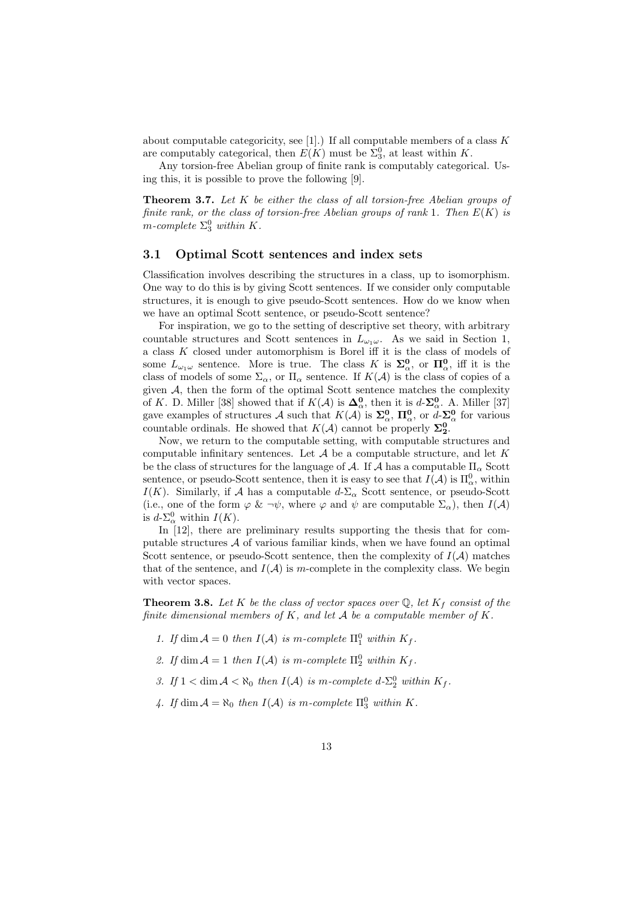about computable categoricity, see [1].) If all computable members of a class  $K$ are computably categorical, then  $E(K)$  must be  $\Sigma_3^0$ , at least within K.

Any torsion-free Abelian group of finite rank is computably categorical. Using this, it is possible to prove the following [9].

**Theorem 3.7.** Let  $K$  be either the class of all torsion-free Abelian groups of finite rank, or the class of torsion-free Abelian groups of rank 1. Then  $E(K)$  is m-complete  $\Sigma_3^0$  within K.

#### 3.1 Optimal Scott sentences and index sets

Classification involves describing the structures in a class, up to isomorphism. One way to do this is by giving Scott sentences. If we consider only computable structures, it is enough to give pseudo-Scott sentences. How do we know when we have an optimal Scott sentence, or pseudo-Scott sentence?

For inspiration, we go to the setting of descriptive set theory, with arbitrary countable structures and Scott sentences in  $L_{\omega_1\omega}$ . As we said in Section 1, a class  $K$  closed under automorphism is Borel iff it is the class of models of some  $L_{\omega_1\omega}$  sentence. More is true. The class K is  $\Sigma^0_\alpha$ , or  $\Pi^0_\alpha$ , iff it is the class of models of some  $\Sigma_{\alpha}$ , or  $\Pi_{\alpha}$  sentence. If  $K(\mathcal{A})$  is the class of copies of a given  $A$ , then the form of the optimal Scott sentence matches the complexity of K. D. Miller [38] showed that if  $K(\mathcal{A})$  is  $\mathbf{\Delta}_{\alpha}^{\mathbf{0}}$ , then it is  $d$ - $\mathbf{\Sigma}_{\alpha}^{\mathbf{0}}$ . A. Miller [37] gave examples of structures A such that  $K(A)$  is  $\Sigma^0_\alpha$ ,  $\Pi^0_\alpha$ , or  $d$ - $\Sigma^0_\alpha$  for various countable ordinals. He showed that  $K(\mathcal{A})$  cannot be properly  $\Sigma^0_2$ .

Now, we return to the computable setting, with computable structures and computable infinitary sentences. Let  $A$  be a computable structure, and let  $K$ be the class of structures for the language of A. If A has a computable  $\Pi_{\alpha}$  Scott sentence, or pseudo-Scott sentence, then it is easy to see that  $I(\mathcal{A})$  is  $\Pi^0_\alpha$ , within I(K). Similarly, if A has a computable  $d$ - $\Sigma_{\alpha}$  Scott sentence, or pseudo-Scott (i.e., one of the form  $\varphi \& \neg \psi$ , where  $\varphi$  and  $\psi$  are computable  $\Sigma_{\alpha}$ ), then  $I(\mathcal{A})$ is  $d$ - $\Sigma^0_\alpha$  within  $I(K)$ .

In [12], there are preliminary results supporting the thesis that for computable structures  $A$  of various familiar kinds, when we have found an optimal Scott sentence, or pseudo-Scott sentence, then the complexity of  $I(\mathcal{A})$  matches that of the sentence, and  $I(\mathcal{A})$  is m-complete in the complexity class. We begin with vector spaces.

**Theorem 3.8.** Let K be the class of vector spaces over  $\mathbb{Q}$ , let  $K_f$  consist of the finite dimensional members of  $K$ , and let  $A$  be a computable member of  $K$ .

- 1. If  $\dim \mathcal{A} = 0$  then  $I(\mathcal{A})$  is m-complete  $\Pi_1^0$  within  $K_f$ .
- 2. If  $\dim \mathcal{A} = 1$  then  $I(\mathcal{A})$  is m-complete  $\Pi_2^0$  within  $K_f$ .
- 3. If  $1 < \dim A < \aleph_0$  then  $I(A)$  is m-complete  $d-\sum_{2}^0$  within  $K_f$ .
- 4. If  $\dim \mathcal{A} = \aleph_0$  then  $I(\mathcal{A})$  is m-complete  $\Pi_3^0$  within K.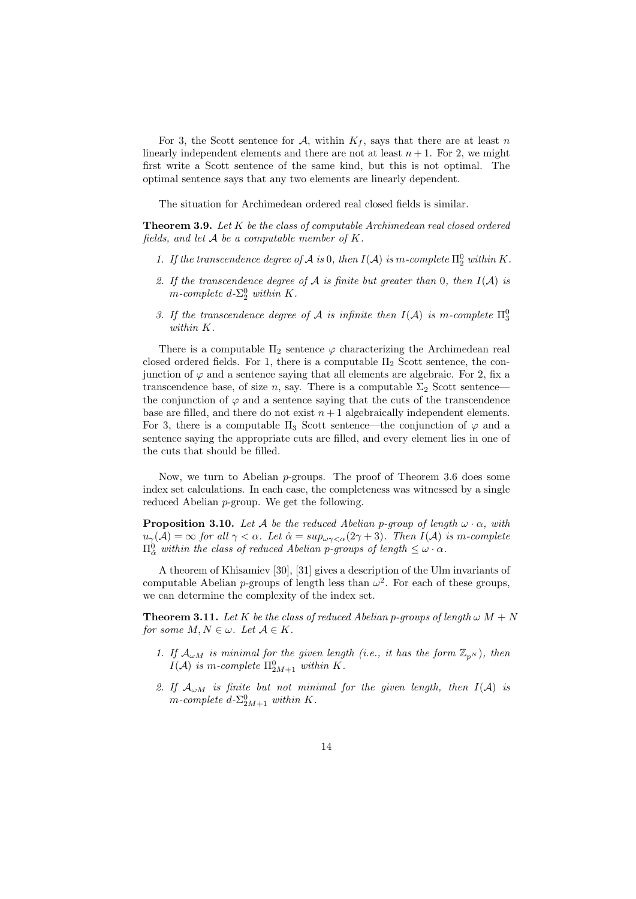For 3, the Scott sentence for A, within  $K_f$ , says that there are at least n linearly independent elements and there are not at least  $n + 1$ . For 2, we might first write a Scott sentence of the same kind, but this is not optimal. The optimal sentence says that any two elements are linearly dependent.

The situation for Archimedean ordered real closed fields is similar.

**Theorem 3.9.** Let  $K$  be the class of computable Archimedean real closed ordered fields, and let  $A$  be a computable member of  $K$ .

- 1. If the transcendence degree of  $A$  is 0, then  $I(A)$  is m-complete  $\Pi^0_2$  within K.
- 2. If the transcendence degree of A is finite but greater than 0, then  $I(A)$  is m-complete  $d$ - $\Sigma_2^0$  within K.
- 3. If the transcendence degree of A is infinite then  $I(A)$  is m-complete  $\Pi_3^0$ within K.

There is a computable  $\Pi_2$  sentence  $\varphi$  characterizing the Archimedean real closed ordered fields. For 1, there is a computable  $\Pi_2$  Scott sentence, the conjunction of  $\varphi$  and a sentence saying that all elements are algebraic. For 2, fix a transcendence base, of size n, say. There is a computable  $\Sigma_2$  Scott sentence the conjunction of  $\varphi$  and a sentence saying that the cuts of the transcendence base are filled, and there do not exist  $n + 1$  algebraically independent elements. For 3, there is a computable  $\Pi_3$  Scott sentence—the conjunction of  $\varphi$  and a sentence saying the appropriate cuts are filled, and every element lies in one of the cuts that should be filled.

Now, we turn to Abelian  $p$ -groups. The proof of Theorem 3.6 does some index set calculations. In each case, the completeness was witnessed by a single reduced Abelian p-group. We get the following.

**Proposition 3.10.** Let A be the reduced Abelian p-group of length  $\omega \cdot \alpha$ , with  $u_{\gamma}(\mathcal{A}) = \infty$  for all  $\gamma < \alpha$ . Let  $\hat{\alpha} = \sup_{\omega \gamma < \alpha} (2\gamma + 3)$ . Then  $I(\mathcal{A})$  is m-complete  $\Pi_{\hat{\alpha}}^0$  within the class of reduced Abelian p-groups of length  $\leq \omega \cdot \alpha$ .

A theorem of Khisamiev [30], [31] gives a description of the Ulm invariants of computable Abelian *p*-groups of length less than  $\omega^2$ . For each of these groups, we can determine the complexity of the index set.

**Theorem 3.11.** Let K be the class of reduced Abelian p-groups of length  $\omega M + N$ for some  $M, N \in \omega$ . Let  $\mathcal{A} \in K$ .

- 1. If  $\mathcal{A}_{\omega M}$  is minimal for the given length (i.e., it has the form  $\mathbb{Z}_{p^N}$ ), then  $I(\mathcal{A})$  is m-complete  $\Pi_{2M+1}^0$  within K.
- 2. If  $A_{\omega M}$  is finite but not minimal for the given length, then  $I(A)$  is m-complete  $d\text{-}\Sigma_{2M+1}^0$  within K.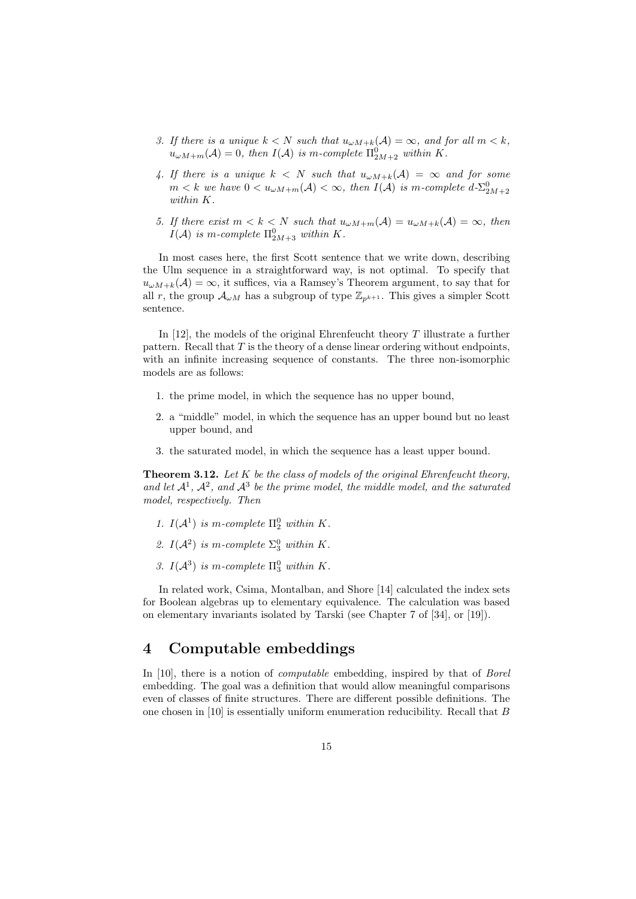- 3. If there is a unique  $k < N$  such that  $u_{\omega M+k}(\mathcal{A}) = \infty$ , and for all  $m < k$ ,  $u_{\omega M+m}(\mathcal{A})=0$ , then  $I(\mathcal{A})$  is m-complete  $\Pi_{2M+2}^0$  within K.
- 4. If there is a unique  $k \leq N$  such that  $u_{\omega M+k}(\mathcal{A}) = \infty$  and for some  $m < k$  we have  $0 < u_{\omega M+m}(\mathcal{A}) < \infty$ , then  $I(\mathcal{A})$  is m-complete  $d \Sigma^0_{2M+2}$ within K.
- 5. If there exist  $m < k < N$  such that  $u_{\omega M+m}(A) = u_{\omega M+k}(A) = \infty$ , then  $I(\mathcal{A})$  is m-complete  $\Pi_{2M+3}^0$  within K.

In most cases here, the first Scott sentence that we write down, describing the Ulm sequence in a straightforward way, is not optimal. To specify that  $u_{\omega M+k}(\mathcal{A})=\infty$ , it suffices, via a Ramsey's Theorem argument, to say that for all r, the group  $\mathcal{A}_{\omega M}$  has a subgroup of type  $\mathbb{Z}_{p^{k+1}}$ . This gives a simpler Scott sentence.

In [12], the models of the original Ehrenfeucht theory  $T$  illustrate a further pattern. Recall that  $T$  is the theory of a dense linear ordering without endpoints. with an infinite increasing sequence of constants. The three non-isomorphic models are as follows:

- 1. the prime model, in which the sequence has no upper bound,
- 2. a "middle" model, in which the sequence has an upper bound but no least upper bound, and
- 3. the saturated model, in which the sequence has a least upper bound.

**Theorem 3.12.** Let  $K$  be the class of models of the original Ehrenfeucht theory, and let  $\mathcal{A}^1$ ,  $\mathcal{A}^2$ , and  $\mathcal{A}^3$  be the prime model, the middle model, and the saturated model, respectively. Then

- 1.  $I(A^1)$  is m-complete  $\Pi_2^0$  within K.
- 2.  $I(A^2)$  is m-complete  $\Sigma_3^0$  within K.
- 3.  $I(A^3)$  is m-complete  $\Pi_3^0$  within K.

In related work, Csima, Montalban, and Shore [14] calculated the index sets for Boolean algebras up to elementary equivalence. The calculation was based on elementary invariants isolated by Tarski (see Chapter 7 of [34], or [19]).

# 4 Computable embeddings

In [10], there is a notion of computable embedding, inspired by that of Borel embedding. The goal was a definition that would allow meaningful comparisons even of classes of finite structures. There are different possible definitions. The one chosen in [10] is essentially uniform enumeration reducibility. Recall that B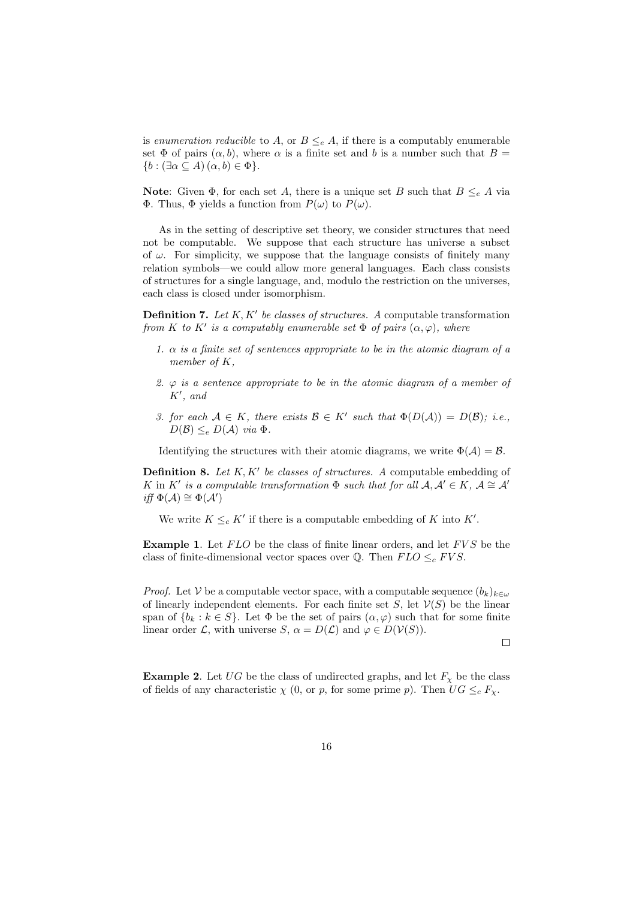is enumeration reducible to A, or  $B \leq_e A$ , if there is a computably enumerable set  $\Phi$  of pairs  $(\alpha, b)$ , where  $\alpha$  is a finite set and b is a number such that  $B =$  ${b : (\exists \alpha \subseteq A) (\alpha, b) \in \Phi}.$ 

Note: Given  $\Phi$ , for each set A, there is a unique set B such that  $B \leq_e A$  via Φ. Thus, Φ yields a function from P(ω) to P(ω).

As in the setting of descriptive set theory, we consider structures that need not be computable. We suppose that each structure has universe a subset of  $\omega$ . For simplicity, we suppose that the language consists of finitely many relation symbols—we could allow more general languages. Each class consists of structures for a single language, and, modulo the restriction on the universes, each class is closed under isomorphism.

**Definition 7.** Let  $K, K'$  be classes of structures. A computable transformation from K to K' is a computably enumerable set  $\Phi$  of pairs  $(\alpha, \varphi)$ , where

- 1.  $\alpha$  is a finite set of sentences appropriate to be in the atomic diagram of a member of K,
- 2.  $\varphi$  is a sentence appropriate to be in the atomic diagram of a member of  $K'$ , and
- 3. for each  $A \in K$ , there exists  $\mathcal{B} \in K'$  such that  $\Phi(D(\mathcal{A})) = D(\mathcal{B})$ ; i.e.,  $D(\mathcal{B}) \leq_e D(\mathcal{A})$  via  $\Phi$ .

Identifying the structures with their atomic diagrams, we write  $\Phi(\mathcal{A}) = \mathcal{B}$ .

**Definition 8.** Let  $K, K'$  be classes of structures. A computable embedding of K in K' is a computable transformation  $\Phi$  such that for all  $\mathcal{A}, \mathcal{A}' \in K$ ,  $\mathcal{A} \cong \mathcal{A}'$ iff  $\Phi(\mathcal{A}) \cong \Phi(\mathcal{A}')$ 

We write  $K \leq_{c} K'$  if there is a computable embedding of K into K'.

**Example 1.** Let  $FLO$  be the class of finite linear orders, and let  $FVS$  be the class of finite-dimensional vector spaces over  $\mathbb{Q}$ . Then  $FLO \leq_c FVS$ .

*Proof.* Let V be a computable vector space, with a computable sequence  $(b_k)_{k\in\omega}$ of linearly independent elements. For each finite set  $S$ , let  $V(S)$  be the linear span of  $\{b_k : k \in S\}$ . Let  $\Phi$  be the set of pairs  $(\alpha, \varphi)$  such that for some finite linear order L, with universe S,  $\alpha = D(\mathcal{L})$  and  $\varphi \in D(\mathcal{V}(S)).$ 

 $\Box$ 

**Example 2.** Let UG be the class of undirected graphs, and let  $F_\chi$  be the class of fields of any characteristic  $\chi$  (0, or p, for some prime p). Then  $UG \leq_c F_{\chi}$ .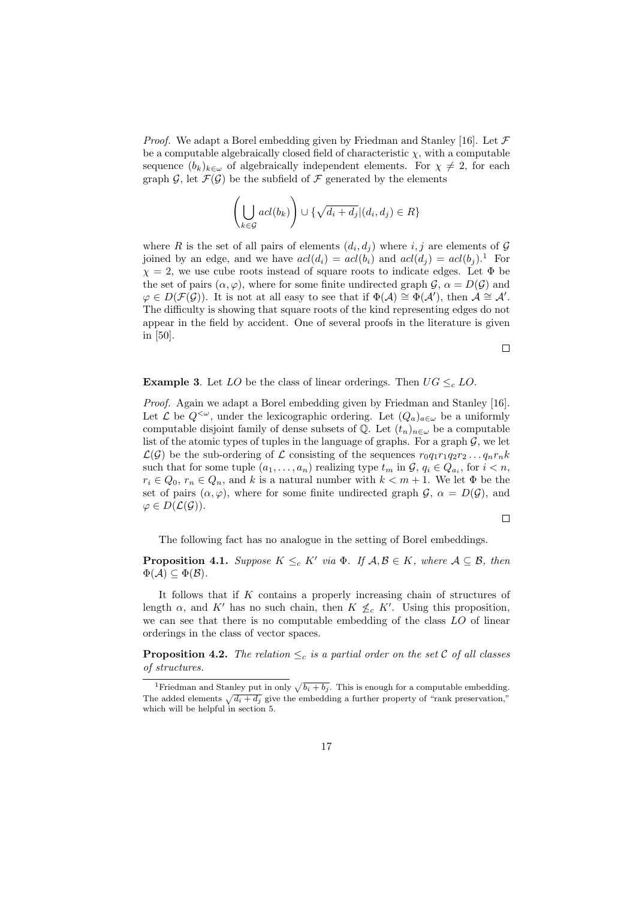*Proof.* We adapt a Borel embedding given by Friedman and Stanley [16]. Let  $\mathcal F$ be a computable algebraically closed field of characteristic  $\chi$ , with a computable sequence  $(b_k)_{k\in\omega}$  of algebraically independent elements. For  $\chi\neq 2$ , for each graph  $\mathcal{G}$ , let  $\mathcal{F}(\mathcal{G})$  be the subfield of  $\mathcal{F}$  generated by the elements

$$
\left(\bigcup_{k\in\mathcal{G}}\text{acl}(b_k)\right)\cup\{\sqrt{d_i+d_j}|(d_i,d_j)\in R\}
$$

where R is the set of all pairs of elements  $(d_i, d_j)$  where  $i, j$  are elements of G joined by an edge, and we have  $acl(d_i) = acl(b_i)$  and  $acl(d_j) = acl(b_j).$ <sup>1</sup> For  $\chi = 2$ , we use cube roots instead of square roots to indicate edges. Let  $\Phi$  be the set of pairs  $(\alpha, \varphi)$ , where for some finite undirected graph  $\mathcal{G}, \alpha = D(\mathcal{G})$  and  $\varphi \in D(\mathcal{F}(\mathcal{G}))$ . It is not at all easy to see that if  $\Phi(\mathcal{A}) \cong \Phi(\mathcal{A}')$ , then  $\mathcal{A} \cong \mathcal{A}'$ . The difficulty is showing that square roots of the kind representing edges do not appear in the field by accident. One of several proofs in the literature is given in [50].

 $\Box$ 

**Example 3.** Let LO be the class of linear orderings. Then  $UG \leq_c LO$ .

Proof. Again we adapt a Borel embedding given by Friedman and Stanley [16]. Let  $\mathcal L$  be  $Q^{<\omega}$ , under the lexicographic ordering. Let  $(Q_a)_{a\in\omega}$  be a uniformly computable disjoint family of dense subsets of  $\mathbb{Q}$ . Let  $(t_n)_{n\in\omega}$  be a computable list of the atomic types of tuples in the language of graphs. For a graph  $\mathcal{G}$ , we let  $\mathcal{L}(\mathcal{G})$  be the sub-ordering of  $\mathcal L$  consisting of the sequences  $r_0q_1r_1q_2r_2\ldots q_nr_nk$ such that for some tuple  $(a_1, \ldots, a_n)$  realizing type  $t_m$  in  $\mathcal{G}, q_i \in Q_{a_i}$ , for  $i < n$ ,  $r_i \in Q_0$ ,  $r_n \in Q_n$ , and k is a natural number with  $k < m+1$ . We let  $\Phi$  be the set of pairs  $(\alpha, \varphi)$ , where for some finite undirected graph  $\mathcal{G}, \alpha = D(\mathcal{G})$ , and  $\varphi \in D(\mathcal{L}(\mathcal{G}))$ .

$$
\qquad \qquad \Box
$$

The following fact has no analogue in the setting of Borel embeddings.

**Proposition 4.1.** Suppose  $K \leq_{c} K'$  via  $\Phi$ . If  $A, B \in K$ , where  $A \subseteq B$ , then  $\Phi(\mathcal{A}) \subseteq \Phi(\mathcal{B}).$ 

It follows that if  $K$  contains a properly increasing chain of structures of length  $\alpha$ , and K' has no such chain, then  $K \nleq_{c} K'$ . Using this proposition, we can see that there is no computable embedding of the class LO of linear orderings in the class of vector spaces.

**Proposition 4.2.** The relation  $\leq_c$  is a partial order on the set C of all classes of structures.

<sup>&</sup>lt;sup>1</sup>Friedman and Stanley put in only  $\sqrt{b_i + b_j}$ . This is enough for a computable embedding. The added elements  $\sqrt{d_i + d_j}$  give the embedding a further property of "rank preservation," which will be helpful in section 5.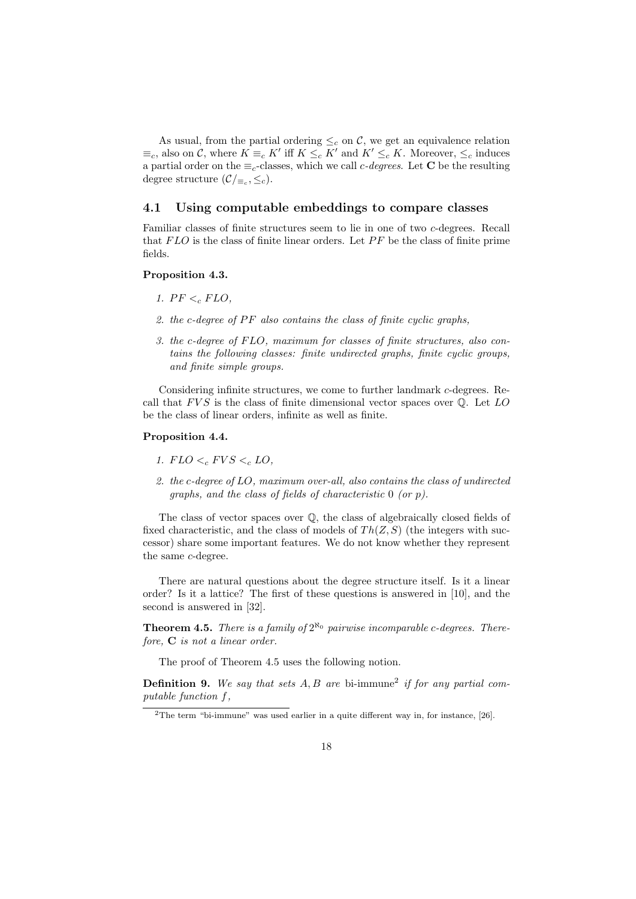As usual, from the partial ordering  $\leq_c$  on C, we get an equivalence relation  $\equiv_c$ , also on C, where  $K \equiv_c K'$  iff  $K \leq_c K'$  and  $K' \leq_c K$ . Moreover,  $\leq_c$  induces a partial order on the  $\equiv_c$ -classes, which we call c-degrees. Let **C** be the resulting degree structure  $(\mathcal{C}/_{\equiv_c}, \leq_c).$ 

#### 4.1 Using computable embeddings to compare classes

Familiar classes of finite structures seem to lie in one of two c-degrees. Recall that  $FLO$  is the class of finite linear orders. Let  $PF$  be the class of finite prime fields.

#### Proposition 4.3.

- 1.  $PF <_{c} FLO$ ,
- 2. the c-degree of  $PF$  also contains the class of finite cyclic graphs,
- 3. the c-degree of FLO, maximum for classes of finite structures, also contains the following classes: finite undirected graphs, finite cyclic groups, and finite simple groups.

Considering infinite structures, we come to further landmark c-degrees. Recall that  $FVS$  is the class of finite dimensional vector spaces over  $\mathbb{Q}$ . Let LO be the class of linear orders, infinite as well as finite.

#### Proposition 4.4.

- 1.  $FLO <_{c} FVS <_{c} LO$ ,
- 2. the c-degree of LO, maximum over-all, also contains the class of undirected graphs, and the class of fields of characteristic 0 (or p).

The class of vector spaces over Q, the class of algebraically closed fields of fixed characteristic, and the class of models of  $Th(Z, S)$  (the integers with successor) share some important features. We do not know whether they represent the same c-degree.

There are natural questions about the degree structure itself. Is it a linear order? Is it a lattice? The first of these questions is answered in [10], and the second is answered in [32].

**Theorem 4.5.** There is a family of  $2^{\aleph_0}$  pairwise incomparable c-degrees. Therefore, C is not a linear order.

The proof of Theorem 4.5 uses the following notion.

**Definition 9.** We say that sets  $A, B$  are bi-immune<sup>2</sup> if for any partial computable function f,

<sup>&</sup>lt;sup>2</sup>The term "bi-immune" was used earlier in a quite different way in, for instance, [26].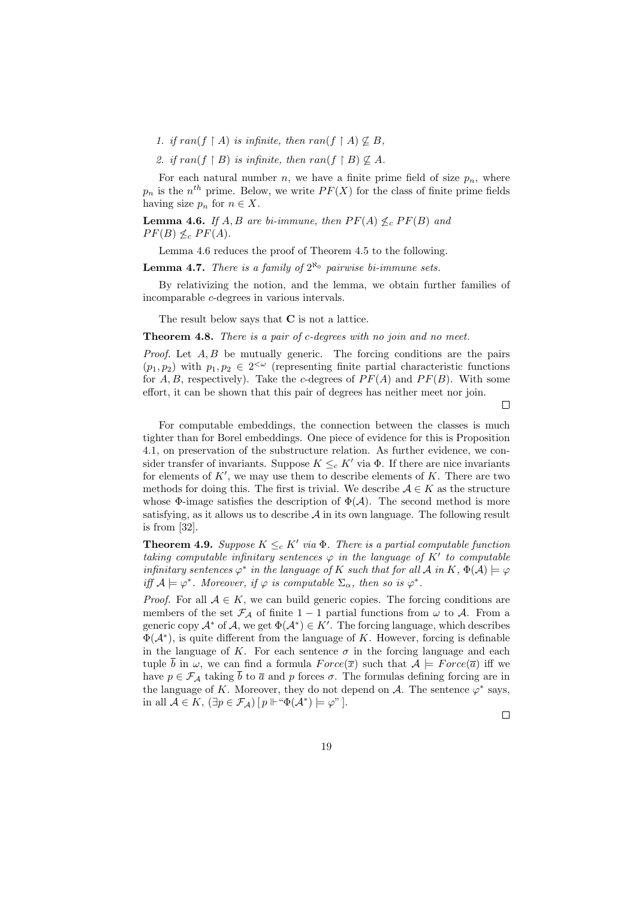- 1. if  $ran(f \upharpoonright A)$  is infinite, then  $ran(f \upharpoonright A) \not\subseteq B$ ,
- 2. if  $ran(f \upharpoonright B)$  is infinite, then  $ran(f \upharpoonright B) \not\subset A$ .

For each natural number n, we have a finite prime field of size  $p_n$ , where  $p_n$  is the  $n^{th}$  prime. Below, we write  $PF(X)$  for the class of finite prime fields having size  $p_n$  for  $n \in X$ .

**Lemma 4.6.** If A, B are bi-immune, then  $PF(A) \nleq_c PF(B)$  and  $PF(B) \nleq_c PF(A).$ 

Lemma 4.6 reduces the proof of Theorem 4.5 to the following.

**Lemma 4.7.** There is a family of  $2^{\aleph_0}$  pairwise bi-immune sets.

By relativizing the notion, and the lemma, we obtain further families of incomparable c-degrees in various intervals.

The result below says that C is not a lattice.

Theorem 4.8. There is a pair of c-degrees with no join and no meet.

*Proof.* Let  $A, B$  be mutually generic. The forcing conditions are the pairs  $(p_1, p_2)$  with  $p_1, p_2 \in 2^{\langle \omega \rangle}$  (representing finite partial characteristic functions for  $A, B$ , respectively). Take the c-degrees of  $PF(A)$  and  $PF(B)$ . With some effort, it can be shown that this pair of degrees has neither meet nor join.

 $\Box$ 

For computable embeddings, the connection between the classes is much tighter than for Borel embeddings. One piece of evidence for this is Proposition 4.1, on preservation of the substructure relation. As further evidence, we consider transfer of invariants. Suppose  $K \leq_{c} K'$  via  $\Phi$ . If there are nice invariants for elements of  $K'$ , we may use them to describe elements of  $K$ . There are two methods for doing this. The first is trivial. We describe  $A \in K$  as the structure whose  $\Phi$ -image satisfies the description of  $\Phi(\mathcal{A})$ . The second method is more satisfying, as it allows us to describe  $A$  in its own language. The following result is from [32].

**Theorem 4.9.** Suppose  $K \leq_{c} K'$  via  $\Phi$ . There is a partial computable function taking computable infinitary sentences  $\varphi$  in the language of K' to computable infinitary sentences  $\varphi^*$  in the language of K such that for all A in K,  $\Phi(A) \models \varphi$ iff  $\mathcal{A} \models \varphi^*$ . Moreover, if  $\varphi$  is computable  $\Sigma_{\alpha}$ , then so is  $\varphi^*$ .

*Proof.* For all  $A \in K$ , we can build generic copies. The forcing conditions are members of the set  $\mathcal{F}_{\mathcal{A}}$  of finite 1 − 1 partial functions from  $\omega$  to  $\mathcal{A}$ . From a generic copy  $\mathcal{A}^*$  of  $\mathcal{A}$ , we get  $\Phi(\mathcal{A}^*) \in K'$ . The forcing language, which describes  $\Phi(\mathcal{A}^*)$ , is quite different from the language of K. However, forcing is definable in the language of K. For each sentence  $\sigma$  in the forcing language and each tuple  $\bar{b}$  in  $\omega$ , we can find a formula  $Force(\bar{x})$  such that  $\mathcal{A} \models Force(\bar{a})$  iff we have  $p \in \mathcal{F}_{\mathcal{A}}$  taking  $\bar{b}$  to  $\bar{a}$  and p forces  $\sigma$ . The formulas defining forcing are in the language of K. Moreover, they do not depend on A. The sentence  $\varphi^*$  says, in all  $\mathcal{A} \in K$ ,  $(\exists p \in \mathcal{F}_\mathcal{A})$   $[p \Vdash \text{``}\Phi(\mathcal{A}^*) \models \varphi\text{''}$  ].

 $\Box$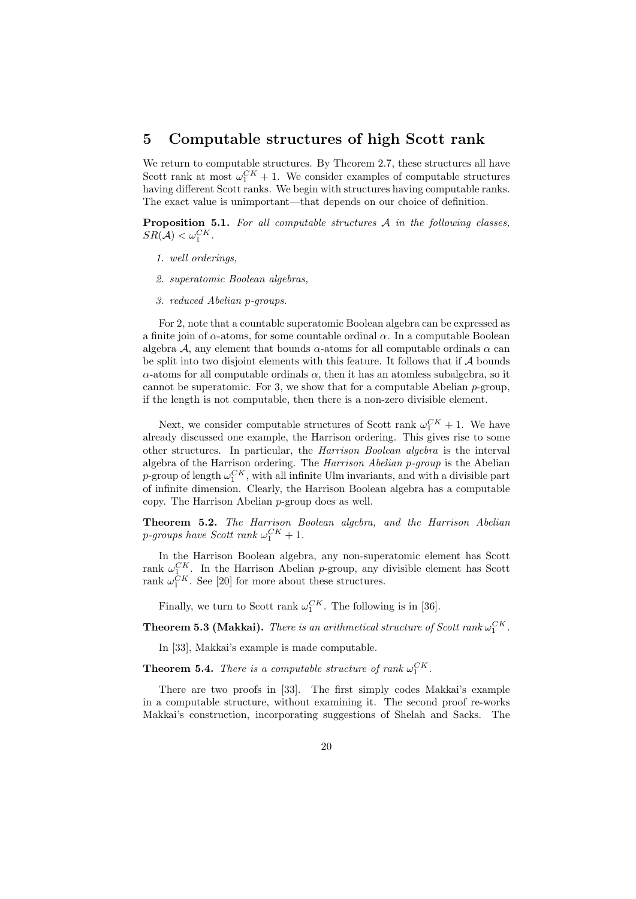# 5 Computable structures of high Scott rank

We return to computable structures. By Theorem 2.7, these structures all have Scott rank at most  $\omega_1^{CK} + 1$ . We consider examples of computable structures having different Scott ranks. We begin with structures having computable ranks. The exact value is unimportant—that depends on our choice of definition.

Proposition 5.1. For all computable structures A in the following classes,  $SR(\mathcal{A}) < \omega_1^{CK}$ .

- 1. well orderings,
- 2. superatomic Boolean algebras,
- 3. reduced Abelian p-groups.

For 2, note that a countable superatomic Boolean algebra can be expressed as a finite join of  $\alpha$ -atoms, for some countable ordinal  $\alpha$ . In a computable Boolean algebra A, any element that bounds  $\alpha$ -atoms for all computable ordinals  $\alpha$  can be split into two disjoint elements with this feature. It follows that if  $\mathcal A$  bounds  $\alpha$ -atoms for all computable ordinals  $\alpha$ , then it has an atomless subalgebra, so it cannot be superatomic. For 3, we show that for a computable Abelian p-group, if the length is not computable, then there is a non-zero divisible element.

Next, we consider computable structures of Scott rank  $\omega_1^{CK} + 1$ . We have already discussed one example, the Harrison ordering. This gives rise to some other structures. In particular, the Harrison Boolean algebra is the interval algebra of the Harrison ordering. The Harrison Abelian p-group is the Abelian p-group of length  $\omega_1^{CK}$ , with all infinite Ulm invariants, and with a divisible part of infinite dimension. Clearly, the Harrison Boolean algebra has a computable copy. The Harrison Abelian p-group does as well.

Theorem 5.2. The Harrison Boolean algebra, and the Harrison Abelian p-groups have Scott rank  $\omega_1^{CK} + 1$ .

In the Harrison Boolean algebra, any non-superatomic element has Scott rank  $\omega_1^{CK}$ . In the Harrison Abelian p-group, any divisible element has Scott rank  $\omega_1^C$ . In the Harrison Abendan *P*-group, any constant  $\omega_1^{CK}$ . See [20] for more about these structures.

Finally, we turn to Scott rank  $\omega_1^{CK}$ . The following is in [36].

**Theorem 5.3 (Makkai).** There is an arithmetical structure of Scott rank  $\omega_1^{CK}$ .

In [33], Makkai's example is made computable.

**Theorem 5.4.** There is a computable structure of rank  $\omega_1^{CK}$ .

There are two proofs in [33]. The first simply codes Makkai's example in a computable structure, without examining it. The second proof re-works Makkai's construction, incorporating suggestions of Shelah and Sacks. The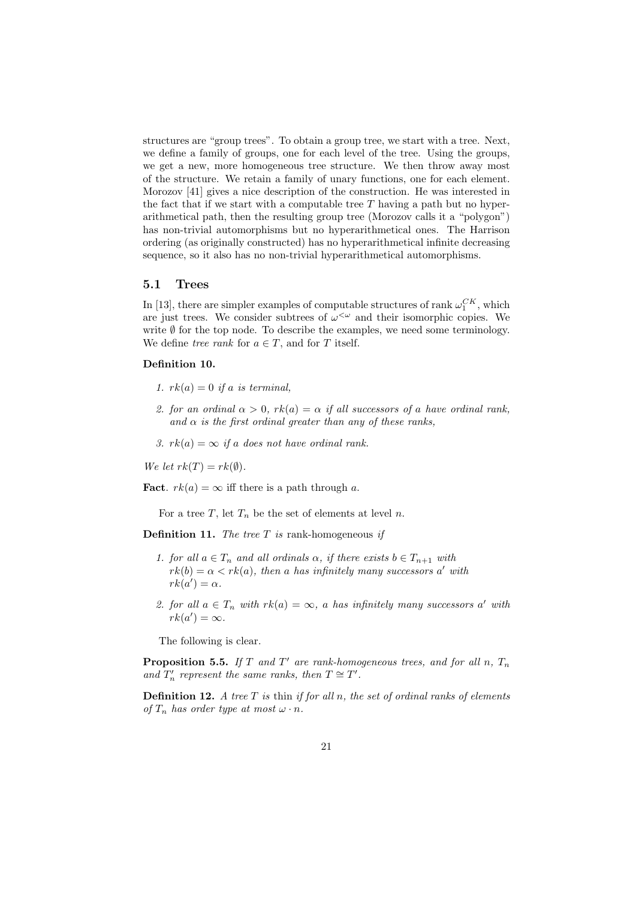structures are "group trees". To obtain a group tree, we start with a tree. Next, we define a family of groups, one for each level of the tree. Using the groups, we get a new, more homogeneous tree structure. We then throw away most of the structure. We retain a family of unary functions, one for each element. Morozov [41] gives a nice description of the construction. He was interested in the fact that if we start with a computable tree  $T$  having a path but no hyperarithmetical path, then the resulting group tree (Morozov calls it a "polygon") has non-trivial automorphisms but no hyperarithmetical ones. The Harrison ordering (as originally constructed) has no hyperarithmetical infinite decreasing sequence, so it also has no non-trivial hyperarithmetical automorphisms.

#### 5.1 Trees

In [13], there are simpler examples of computable structures of rank  $\omega_1^{CK}$ , which are just trees. We consider subtrees of  $\omega^{\langle \omega \rangle}$  and their isomorphic copies. We write  $\emptyset$  for the top node. To describe the examples, we need some terminology. We define tree rank for  $a \in T$ , and for T itself.

#### Definition 10.

- 1.  $rk(a) = 0$  if a is terminal,
- 2. for an ordinal  $\alpha > 0$ ,  $rk(a) = \alpha$  if all successors of a have ordinal rank, and  $\alpha$  is the first ordinal greater than any of these ranks,
- 3.  $rk(a) = \infty$  if a does not have ordinal rank.

We let  $rk(T) = rk(\emptyset)$ .

**Fact.**  $rk(a) = \infty$  iff there is a path through a.

For a tree T, let  $T_n$  be the set of elements at level n.

**Definition 11.** The tree  $T$  is rank-homogeneous if

- 1. for all  $a \in T_n$  and all ordinals  $\alpha$ , if there exists  $b \in T_{n+1}$  with  $rk(b) = \alpha < rk(a)$ , then a has infinitely many successors a' with  $rk(a') = \alpha.$
- 2. for all  $a \in T_n$  with  $rk(a) = \infty$ , a has infinitely many successors a' with  $rk(a')=\infty.$

The following is clear.

**Proposition 5.5.** If T and T' are rank-homogeneous trees, and for all n,  $T_n$ and  $T'_n$  represent the same ranks, then  $T \cong T'$ .

**Definition 12.** A tree  $T$  is thin if for all  $n$ , the set of ordinal ranks of elements of  $T_n$  has order type at most  $\omega \cdot n$ .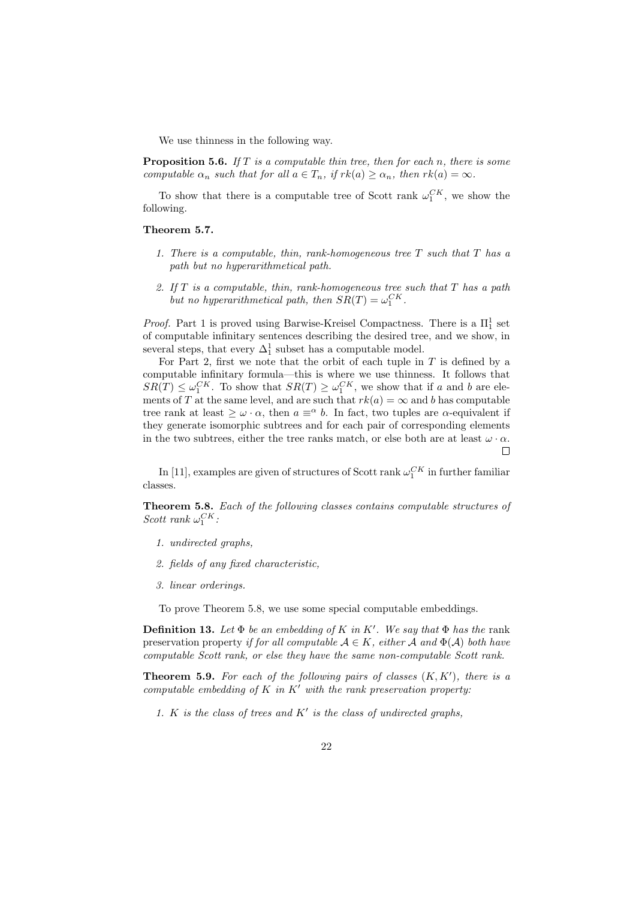We use thinness in the following way.

**Proposition 5.6.** If T is a computable thin tree, then for each n, there is some computable  $\alpha_n$  such that for all  $a \in T_n$ , if  $rk(a) \geq \alpha_n$ , then  $rk(a) = \infty$ .

To show that there is a computable tree of Scott rank  $\omega_1^{CK}$ , we show the following.

#### Theorem 5.7.

- 1. There is a computable, thin, rank-homogeneous tree  $T$  such that  $T$  has a path but no hyperarithmetical path.
- 2. If  $T$  is a computable, thin, rank-homogeneous tree such that  $T$  has a path but no hyperarithmetical path, then  $SR(T) = \omega_1^{CK}$ .

*Proof.* Part 1 is proved using Barwise-Kreisel Compactness. There is a  $\Pi_1^1$  set of computable infinitary sentences describing the desired tree, and we show, in several steps, that every  $\Delta_1^1$  subset has a computable model.

For Part 2, first we note that the orbit of each tuple in  $T$  is defined by a computable infinitary formula—this is where we use thinness. It follows that  $SR(T) \leq \omega_1^{CK}$ . To show that  $SR(T) \geq \omega_1^{CK}$ , we show that if a and b are elements of T at the same level, and are such that  $rk(a) = \infty$  and b has computable tree rank at least  $\geq \omega \cdot \alpha$ , then  $a \equiv^{\alpha} b$ . In fact, two tuples are  $\alpha$ -equivalent if they generate isomorphic subtrees and for each pair of corresponding elements in the two subtrees, either the tree ranks match, or else both are at least  $\omega \cdot \alpha$ .  $\Box$ 

In [11], examples are given of structures of Scott rank  $\omega_1^{CK}$  in further familiar classes.

Theorem 5.8. Each of the following classes contains computable structures of Scott rank  $\omega_1^{CK}$ :

- 1. undirected graphs,
- 2. fields of any fixed characteristic,
- 3. linear orderings.

To prove Theorem 5.8, we use some special computable embeddings.

**Definition 13.** Let  $\Phi$  be an embedding of K in K'. We say that  $\Phi$  has the rank preservation property if for all computable  $A \in K$ , either A and  $\Phi(A)$  both have computable Scott rank, or else they have the same non-computable Scott rank.

**Theorem 5.9.** For each of the following pairs of classes  $(K, K')$ , there is a computable embedding of K in K' with the rank preservation property:

1. K is the class of trees and  $K'$  is the class of undirected graphs,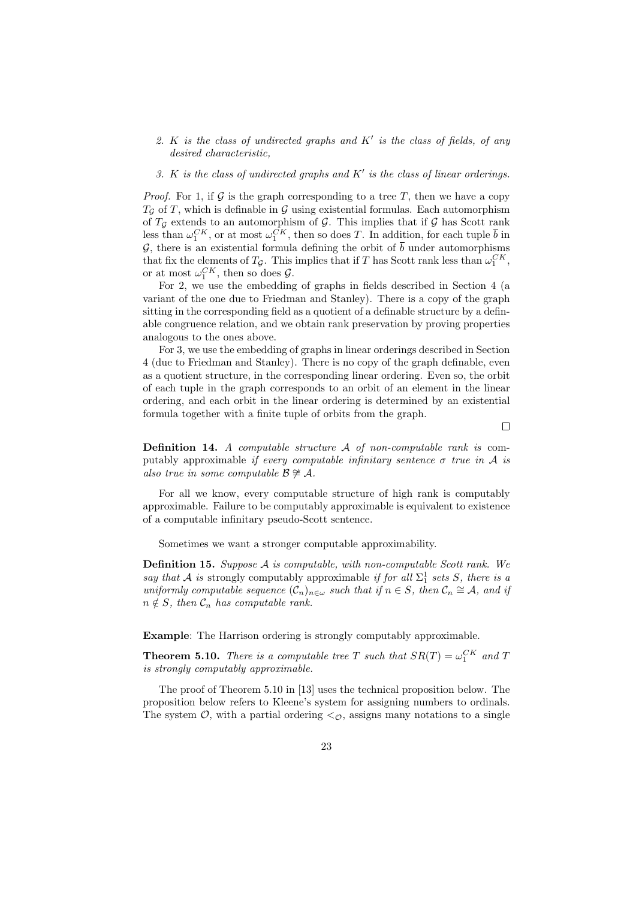2. K is the class of undirected graphs and  $K'$  is the class of fields, of any desired characteristic,

#### 3. K is the class of undirected graphs and  $K'$  is the class of linear orderings.

*Proof.* For 1, if G is the graph corresponding to a tree T, then we have a copy  $T_G$  of T, which is definable in G using existential formulas. Each automorphism of  $T_{\mathcal{G}}$  extends to an automorphism of  $\mathcal{G}$ . This implies that if  $\mathcal{G}$  has Scott rank less than  $\omega_1^{CK}$ , or at most  $\omega_1^{CK}$ , then so does T. In addition, for each tuple  $\bar{b}$  in G, there is an existential formula defining the orbit of  $\bar{b}$  under automorphisms that fix the elements of  $T_g$ . This implies that if T has Scott rank less than  $\omega_1^{CK}$ , or at most  $\omega_1^{CK}$ , then so does  $\mathcal{G}$ .

For 2, we use the embedding of graphs in fields described in Section 4 (a variant of the one due to Friedman and Stanley). There is a copy of the graph sitting in the corresponding field as a quotient of a definable structure by a definable congruence relation, and we obtain rank preservation by proving properties analogous to the ones above.

For 3, we use the embedding of graphs in linear orderings described in Section 4 (due to Friedman and Stanley). There is no copy of the graph definable, even as a quotient structure, in the corresponding linear ordering. Even so, the orbit of each tuple in the graph corresponds to an orbit of an element in the linear ordering, and each orbit in the linear ordering is determined by an existential formula together with a finite tuple of orbits from the graph.

 $\Box$ 

Definition 14. A computable structure A of non-computable rank is computably approximable if every computable infinitary sentence  $\sigma$  true in A is also true in some computable  $\mathcal{B} \not\cong \mathcal{A}$ .

For all we know, every computable structure of high rank is computably approximable. Failure to be computably approximable is equivalent to existence of a computable infinitary pseudo-Scott sentence.

Sometimes we want a stronger computable approximability.

Definition 15. Suppose A is computable, with non-computable Scott rank. We say that A is strongly computably approximable if for all  $\Sigma_1^1$  sets S, there is a uniformly computable sequence  $(C_n)_{n \in \omega}$  such that if  $n \in S$ , then  $C_n \cong A$ , and if  $n \notin S$ , then  $\mathcal{C}_n$  has computable rank.

Example: The Harrison ordering is strongly computably approximable.

**Theorem 5.10.** There is a computable tree T such that  $SR(T) = \omega_1^{CK}$  and T is strongly computably approximable.

The proof of Theorem 5.10 in [13] uses the technical proposition below. The proposition below refers to Kleene's system for assigning numbers to ordinals. The system  $\mathcal{O}$ , with a partial ordering  $\langle \mathcal{O} \rangle$ , assigns many notations to a single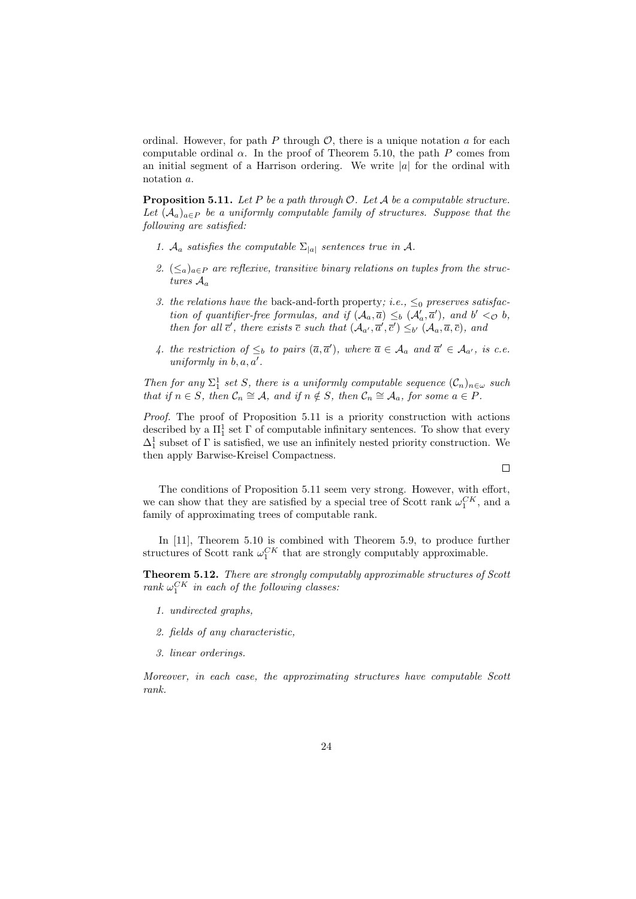ordinal. However, for path P through  $\mathcal{O}$ , there is a unique notation a for each computable ordinal  $\alpha$ . In the proof of Theorem 5.10, the path P comes from an initial segment of a Harrison ordering. We write  $|a|$  for the ordinal with notation a.

**Proposition 5.11.** Let P be a path through  $\mathcal{O}$ . Let A be a computable structure. Let  $(A_a)_{a \in P}$  be a uniformly computable family of structures. Suppose that the following are satisfied:

- 1.  $A_a$  satisfies the computable  $\Sigma_{|a|}$  sentences true in A.
- 2.  $(\leq_a)_{a \in P}$  are reflexive, transitive binary relations on tuples from the structures  $A_a$
- 3. the relations have the back-and-forth property; i.e.,  $\leq_0$  preserves satisfaction of quantifier-free formulas, and if  $(A_a, \overline{a}) \leq_b (A'_a, \overline{a}')$ , and  $b' < \infty b$ , then for all  $\bar{c}'$ , there exists  $\bar{c}$  such that  $(\mathcal{A}_{a'}, \bar{a}', \bar{c}') \leq_{b'} (\mathcal{A}_{a}, \bar{a}, \bar{c})$ , and
- 4. the restriction of  $\leq_b$  to pairs  $(\overline{a}, \overline{a}')$ , where  $\overline{a} \in A_a$  and  $\overline{a}' \in A_{a'}$ , is c.e. uniformly in  $b, a, a'$ .

Then for any  $\Sigma_1^1$  set S, there is a uniformly computable sequence  $(\mathcal{C}_n)_{n\in\omega}$  such that if  $n \in S$ , then  $C_n \cong A$ , and if  $n \notin S$ , then  $C_n \cong A_a$ , for some  $a \in P$ .

Proof. The proof of Proposition 5.11 is a priority construction with actions described by a  $\Pi^1_1$  set  $\Gamma$  of computable infinitary sentences. To show that every  $\Delta_1^1$  subset of  $\Gamma$  is satisfied, we use an infinitely nested priority construction. We then apply Barwise-Kreisel Compactness.

 $\Box$ 

The conditions of Proposition 5.11 seem very strong. However, with effort, we can show that they are satisfied by a special tree of Scott rank  $\omega_1^{CK}$ , and a family of approximating trees of computable rank.

In [11], Theorem 5.10 is combined with Theorem 5.9, to produce further structures of Scott rank  $\omega_1^{CK}$  that are strongly computably approximable.

Theorem 5.12. There are strongly computably approximable structures of Scott rank  $\omega_1^{CK}$  in each of the following classes:

- 1. undirected graphs,
- 2. fields of any characteristic,
- 3. linear orderings.

Moreover, in each case, the approximating structures have computable Scott rank.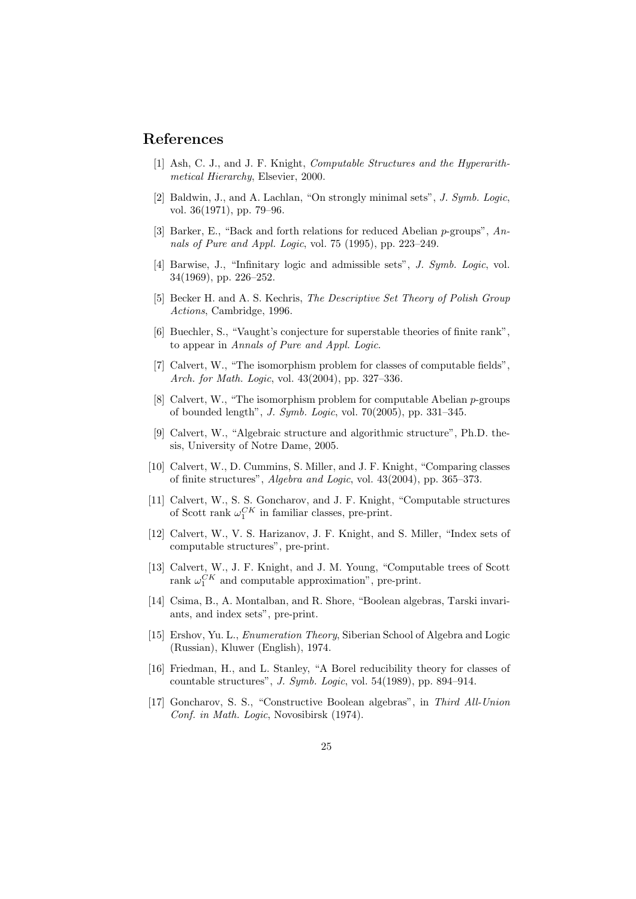# References

- [1] Ash, C. J., and J. F. Knight, Computable Structures and the Hyperarithmetical Hierarchy, Elsevier, 2000.
- [2] Baldwin, J., and A. Lachlan, "On strongly minimal sets", J. Symb. Logic, vol. 36(1971), pp. 79–96.
- [3] Barker, E., "Back and forth relations for reduced Abelian  $p$ -groups",  $An$ nals of Pure and Appl. Logic, vol. 75 (1995), pp. 223–249.
- [4] Barwise, J., "Infinitary logic and admissible sets", *J. Symb. Logic*, vol. 34(1969), pp. 226–252.
- [5] Becker H. and A. S. Kechris, The Descriptive Set Theory of Polish Group Actions, Cambridge, 1996.
- [6] Buechler, S., "Vaught's conjecture for superstable theories of finite rank", to appear in Annals of Pure and Appl. Logic.
- [7] Calvert, W., "The isomorphism problem for classes of computable fields", Arch. for Math. Logic, vol. 43(2004), pp. 327–336.
- [8] Calvert, W., "The isomorphism problem for computable Abelian  $p$ -groups of bounded length", J. Symb. Logic, vol. 70(2005), pp. 331–345.
- [9] Calvert, W., "Algebraic structure and algorithmic structure", Ph.D. thesis, University of Notre Dame, 2005.
- [10] Calvert, W., D. Cummins, S. Miller, and J. F. Knight, "Comparing classes of finite structures", Algebra and Logic, vol. 43(2004), pp. 365–373.
- [11] Calvert, W., S. S. Goncharov, and J. F. Knight, "Computable structures of Scott rank  $\omega_1^{CK}$  in familiar classes, pre-print.
- [12] Calvert, W., V. S. Harizanov, J. F. Knight, and S. Miller, "Index sets of computable structures", pre-print.
- [13] Calvert, W., J. F. Knight, and J. M. Young, "Computable trees of Scott rank  $\omega_1^{CK}$  and computable approximation", pre-print.
- [14] Csima, B., A. Montalban, and R. Shore, "Boolean algebras, Tarski invariants, and index sets", pre-print.
- [15] Ershov, Yu. L., Enumeration Theory, Siberian School of Algebra and Logic (Russian), Kluwer (English), 1974.
- [16] Friedman, H., and L. Stanley, "A Borel reducibility theory for classes of countable structures", J. Symb. Logic, vol. 54(1989), pp. 894–914.
- [17] Goncharov, S. S., "Constructive Boolean algebras", in Third All-Union Conf. in Math. Logic, Novosibirsk (1974).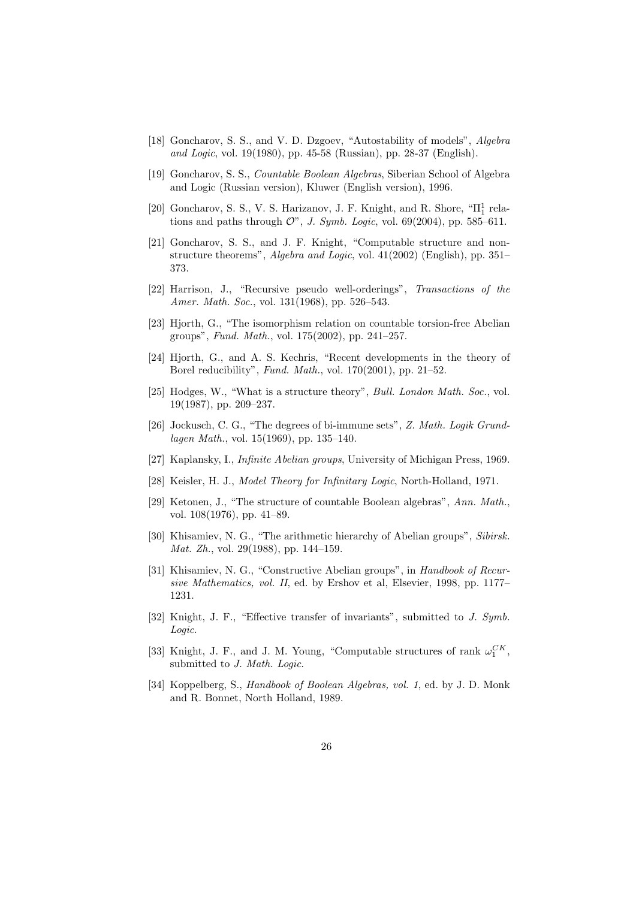- [18] Goncharov, S. S., and V. D. Dzgoev, "Autostability of models", Algebra and Logic, vol. 19(1980), pp. 45-58 (Russian), pp. 28-37 (English).
- [19] Goncharov, S. S., Countable Boolean Algebras, Siberian School of Algebra and Logic (Russian version), Kluwer (English version), 1996.
- [20] Goncharov, S. S., V. S. Harizanov, J. F. Knight, and R. Shore,  ${}^{\omega}\Pi^1_1$  relations and paths through  $\mathcal{O}$ ", J. Symb. Logic, vol. 69(2004), pp. 585–611.
- [21] Goncharov, S. S., and J. F. Knight, "Computable structure and nonstructure theorems", Algebra and Logic, vol. 41(2002) (English), pp. 351– 373.
- [22] Harrison, J., "Recursive pseudo well-orderings", Transactions of the Amer. Math. Soc., vol. 131(1968), pp. 526–543.
- [23] Hjorth, G., "The isomorphism relation on countable torsion-free Abelian groups", Fund. Math., vol. 175(2002), pp. 241–257.
- [24] Hjorth, G., and A. S. Kechris, "Recent developments in the theory of Borel reducibility", Fund. Math., vol. 170(2001), pp. 21–52.
- [25] Hodges, W., "What is a structure theory", *Bull. London Math. Soc.*, vol. 19(1987), pp. 209–237.
- [26] Jockusch, C. G., "The degrees of bi-immune sets", Z. Math. Logik Grundlagen Math., vol. 15(1969), pp. 135–140.
- [27] Kaplansky, I., Infinite Abelian groups, University of Michigan Press, 1969.
- [28] Keisler, H. J., Model Theory for Infinitary Logic, North-Holland, 1971.
- [29] Ketonen, J., "The structure of countable Boolean algebras", Ann. Math. vol. 108(1976), pp. 41–89.
- [30] Khisamiev, N. G., "The arithmetic hierarchy of Abelian groups", Sibirsk. Mat. Zh., vol. 29(1988), pp. 144–159.
- [31] Khisamiev, N. G., "Constructive Abelian groups", in Handbook of Recursive Mathematics, vol. II, ed. by Ershov et al, Elsevier, 1998, pp. 1177– 1231.
- [32] Knight, J. F., "Effective transfer of invariants", submitted to J. Symb. Logic.
- [33] Knight, J. F., and J. M. Young, "Computable structures of rank  $\omega_1^{CK}$ , submitted to J. Math. Logic.
- [34] Koppelberg, S., Handbook of Boolean Algebras, vol. 1, ed. by J. D. Monk and R. Bonnet, North Holland, 1989.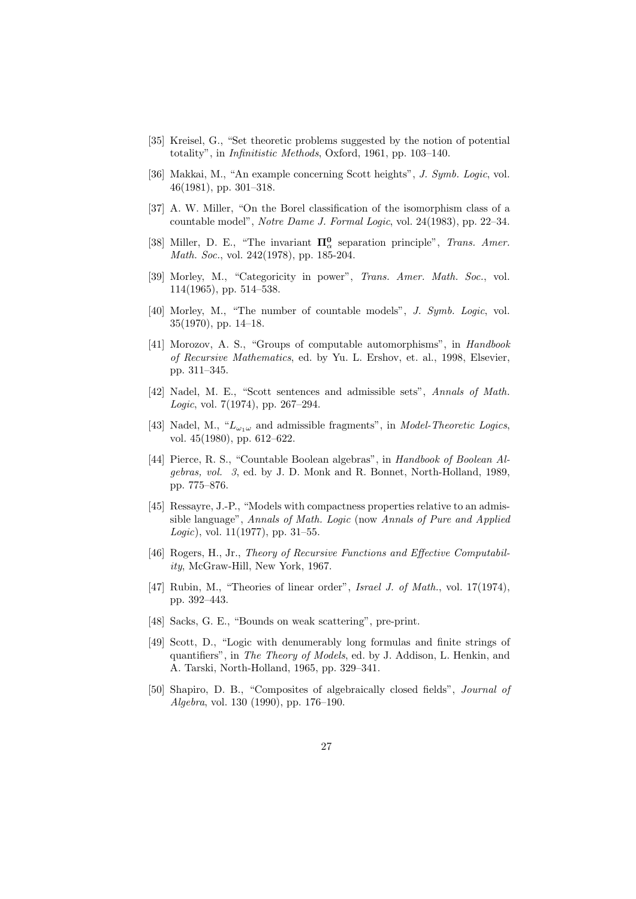- [35] Kreisel, G., "Set theoretic problems suggested by the notion of potential totality", in Infinitistic Methods, Oxford, 1961, pp. 103–140.
- [36] Makkai, M., "An example concerning Scott heights", J. Symb. Logic, vol. 46(1981), pp. 301–318.
- [37] A. W. Miller, "On the Borel classification of the isomorphism class of a countable model", Notre Dame J. Formal Logic, vol. 24(1983), pp. 22–34.
- [38] Miller, D. E., "The invariant  $\Pi^0_\alpha$  separation principle", Trans. Amer. Math. Soc., vol. 242(1978), pp. 185-204.
- [39] Morley, M., "Categoricity in power", Trans. Amer. Math. Soc., vol. 114(1965), pp. 514–538.
- [40] Morley, M., "The number of countable models", J. Symb. Logic, vol. 35(1970), pp. 14–18.
- [41] Morozov, A. S., "Groups of computable automorphisms", in Handbook of Recursive Mathematics, ed. by Yu. L. Ershov, et. al., 1998, Elsevier, pp. 311–345.
- [42] Nadel, M. E., "Scott sentences and admissible sets", Annals of Math. Logic, vol. 7(1974), pp. 267–294.
- [43] Nadel, M., " $L_{\omega_1\omega}$  and admissible fragments", in *Model-Theoretic Logics*, vol. 45(1980), pp. 612–622.
- [44] Pierce, R. S., "Countable Boolean algebras", in Handbook of Boolean Algebras, vol. 3, ed. by J. D. Monk and R. Bonnet, North-Holland, 1989, pp. 775–876.
- [45] Ressayre, J.-P., "Models with compactness properties relative to an admissible language", Annals of Math. Logic (now Annals of Pure and Applied Logic), vol.  $11(1977)$ , pp.  $31-55$ .
- [46] Rogers, H., Jr., Theory of Recursive Functions and Effective Computability, McGraw-Hill, New York, 1967.
- [47] Rubin, M., "Theories of linear order", Israel J. of Math., vol. 17(1974), pp. 392–443.
- [48] Sacks, G. E., "Bounds on weak scattering", pre-print.
- [49] Scott, D., "Logic with denumerably long formulas and finite strings of quantifiers", in The Theory of Models, ed. by J. Addison, L. Henkin, and A. Tarski, North-Holland, 1965, pp. 329–341.
- [50] Shapiro, D. B., "Composites of algebraically closed fields", Journal of Algebra, vol. 130 (1990), pp. 176–190.